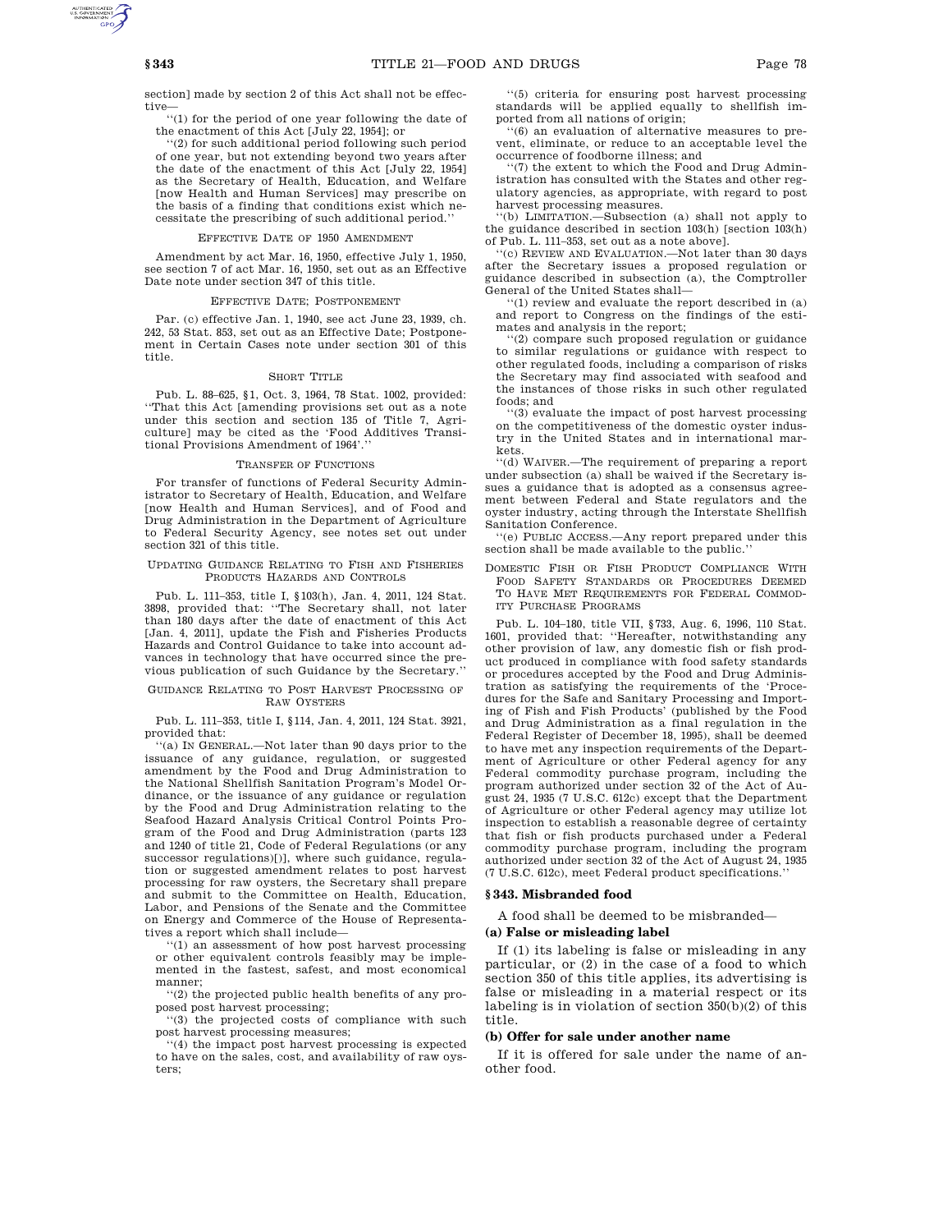section] made by section 2 of this Act shall not be effective—

''(1) for the period of one year following the date of the enactment of this Act [July 22, 1954]; or

''(2) for such additional period following such period of one year, but not extending beyond two years after the date of the enactment of this Act [July 22, 1954] as the Secretary of Health, Education, and Welfare [now Health and Human Services] may prescribe on the basis of a finding that conditions exist which necessitate the prescribing of such additional period.''

### EFFECTIVE DATE OF 1950 AMENDMENT

Amendment by act Mar. 16, 1950, effective July 1, 1950, see section 7 of act Mar. 16, 1950, set out as an Effective Date note under section 347 of this title.

#### EFFECTIVE DATE; POSTPONEMENT

Par. (c) effective Jan. 1, 1940, see act June 23, 1939, ch. 242, 53 Stat. 853, set out as an Effective Date; Postponement in Certain Cases note under section 301 of this title.

#### SHORT TITLE

Pub. L. 88–625, §1, Oct. 3, 1964, 78 Stat. 1002, provided: ''That this Act [amending provisions set out as a note under this section and section 135 of Title 7, Agriculture] may be cited as the 'Food Additives Transitional Provisions Amendment of 1964'.''

#### TRANSFER OF FUNCTIONS

For transfer of functions of Federal Security Administrator to Secretary of Health, Education, and Welfare [now Health and Human Services], and of Food and Drug Administration in the Department of Agriculture to Federal Security Agency, see notes set out under section 321 of this title.

#### UPDATING GUIDANCE RELATING TO FISH AND FISHERIES PRODUCTS HAZARDS AND CONTROLS

Pub. L. 111–353, title I, §103(h), Jan. 4, 2011, 124 Stat. 3898, provided that: ''The Secretary shall, not later than 180 days after the date of enactment of this Act [Jan. 4, 2011], update the Fish and Fisheries Products Hazards and Control Guidance to take into account advances in technology that have occurred since the previous publication of such Guidance by the Secretary.''

#### GUIDANCE RELATING TO POST HARVEST PROCESSING OF RAW OYSTERS

Pub. L. 111–353, title I, §114, Jan. 4, 2011, 124 Stat. 3921, provided that:

''(a) IN GENERAL.—Not later than 90 days prior to the issuance of any guidance, regulation, or suggested amendment by the Food and Drug Administration to the National Shellfish Sanitation Program's Model Ordinance, or the issuance of any guidance or regulation by the Food and Drug Administration relating to the Seafood Hazard Analysis Critical Control Points Program of the Food and Drug Administration (parts 123 and 1240 of title 21, Code of Federal Regulations (or any successor regulations)[)], where such guidance, regulation or suggested amendment relates to post harvest processing for raw oysters, the Secretary shall prepare and submit to the Committee on Health, Education, Labor, and Pensions of the Senate and the Committee on Energy and Commerce of the House of Representatives a report which shall include—

''(1) an assessment of how post harvest processing or other equivalent controls feasibly may be implemented in the fastest, safest, and most economical manner;

''(2) the projected public health benefits of any proposed post harvest processing;

''(3) the projected costs of compliance with such post harvest processing measures;

''(4) the impact post harvest processing is expected to have on the sales, cost, and availability of raw oysters;

''(5) criteria for ensuring post harvest processing standards will be applied equally to shellfish imported from all nations of origin;

''(6) an evaluation of alternative measures to prevent, eliminate, or reduce to an acceptable level the occurrence of foodborne illness; and

''(7) the extent to which the Food and Drug Administration has consulted with the States and other regulatory agencies, as appropriate, with regard to post harvest processing measures.

''(b) LIMITATION.—Subsection (a) shall not apply to the guidance described in section 103(h) [section 103(h) of Pub. L. 111–353, set out as a note above].

''(c) REVIEW AND EVALUATION.—Not later than 30 days after the Secretary issues a proposed regulation or guidance described in subsection (a), the Comptroller General of the United States shall—

''(1) review and evaluate the report described in (a) and report to Congress on the findings of the estimates and analysis in the report;

''(2) compare such proposed regulation or guidance to similar regulations or guidance with respect to other regulated foods, including a comparison of risks the Secretary may find associated with seafood and the instances of those risks in such other regulated foods; and

''(3) evaluate the impact of post harvest processing on the competitiveness of the domestic oyster industry in the United States and in international markets.

''(d) WAIVER.—The requirement of preparing a report under subsection (a) shall be waived if the Secretary issues a guidance that is adopted as a consensus agreement between Federal and State regulators and the oyster industry, acting through the Interstate Shellfish Sanitation Conference.

''(e) PUBLIC ACCESS.—Any report prepared under this section shall be made available to the public.''

DOMESTIC FISH OR FISH PRODUCT COMPLIANCE WITH FOOD SAFETY STANDARDS OR PROCEDURES DEEMED TO HAVE MET REQUIREMENTS FOR FEDERAL COMMOD-ITY PURCHASE PROGRAMS

Pub. L. 104–180, title VII, §733, Aug. 6, 1996, 110 Stat. 1601, provided that: ''Hereafter, notwithstanding any other provision of law, any domestic fish or fish product produced in compliance with food safety standards or procedures accepted by the Food and Drug Administration as satisfying the requirements of the 'Procedures for the Safe and Sanitary Processing and Importing of Fish and Fish Products' (published by the Food and Drug Administration as a final regulation in the Federal Register of December 18, 1995), shall be deemed to have met any inspection requirements of the Department of Agriculture or other Federal agency for any Federal commodity purchase program, including the program authorized under section 32 of the Act of August 24, 1935 (7 U.S.C. 612c) except that the Department of Agriculture or other Federal agency may utilize lot inspection to establish a reasonable degree of certainty that fish or fish products purchased under a Federal commodity purchase program, including the program authorized under section 32 of the Act of August 24, 1935 (7 U.S.C. 612c), meet Federal product specifications.''

### **§ 343. Misbranded food**

A food shall be deemed to be misbranded—

### **(a) False or misleading label**

If (1) its labeling is false or misleading in any particular, or (2) in the case of a food to which section 350 of this title applies, its advertising is false or misleading in a material respect or its labeling is in violation of section 350(b)(2) of this title.

#### **(b) Offer for sale under another name**

If it is offered for sale under the name of another food.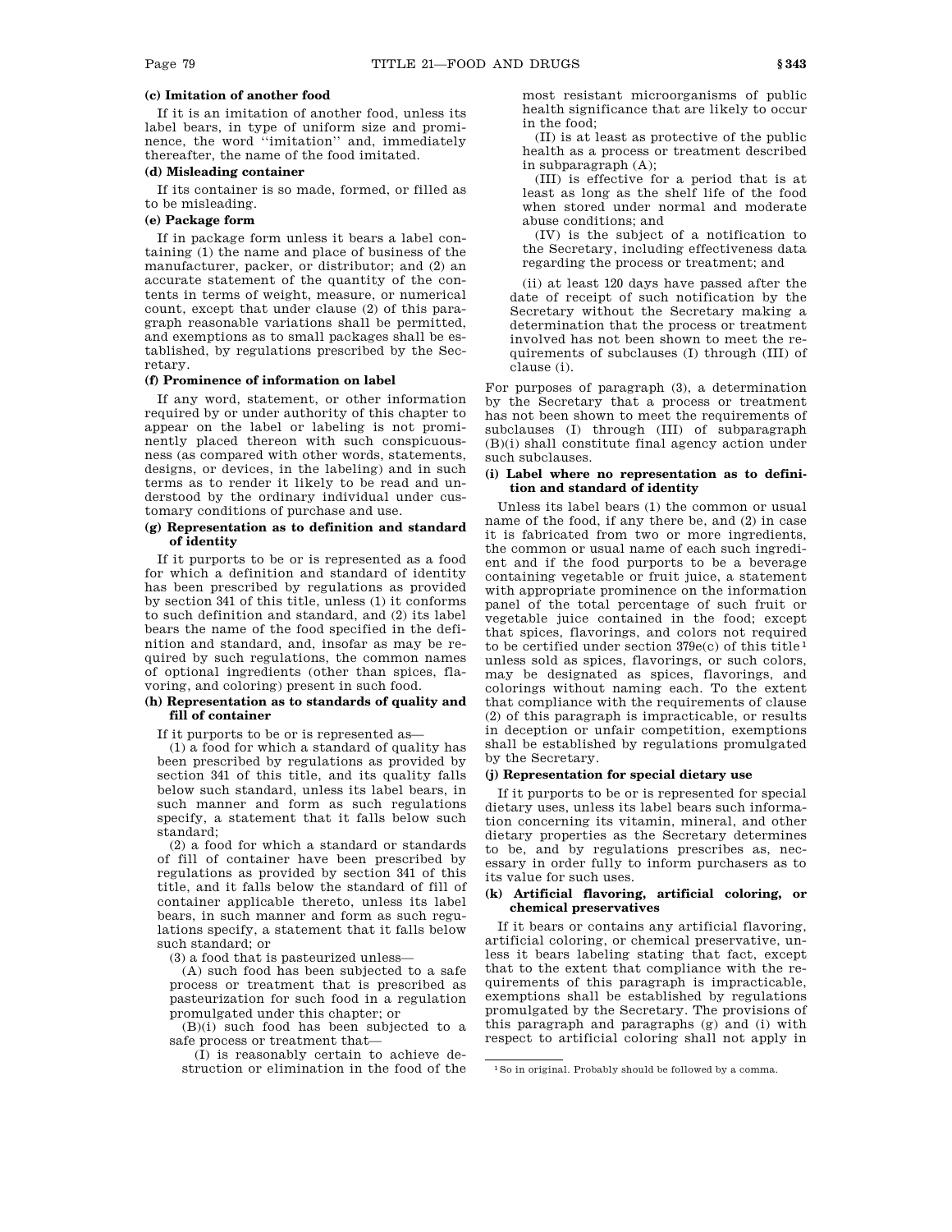# **(c) Imitation of another food**

If it is an imitation of another food, unless its label bears, in type of uniform size and prominence, the word ''imitation'' and, immediately thereafter, the name of the food imitated.

# **(d) Misleading container**

If its container is so made, formed, or filled as to be misleading.

# **(e) Package form**

If in package form unless it bears a label containing (1) the name and place of business of the manufacturer, packer, or distributor; and (2) an accurate statement of the quantity of the contents in terms of weight, measure, or numerical count, except that under clause (2) of this paragraph reasonable variations shall be permitted, and exemptions as to small packages shall be established, by regulations prescribed by the Secretary.

#### **(f) Prominence of information on label**

If any word, statement, or other information required by or under authority of this chapter to appear on the label or labeling is not prominently placed thereon with such conspicuousness (as compared with other words, statements, designs, or devices, in the labeling) and in such terms as to render it likely to be read and understood by the ordinary individual under customary conditions of purchase and use.

# **(g) Representation as to definition and standard of identity**

If it purports to be or is represented as a food for which a definition and standard of identity has been prescribed by regulations as provided by section 341 of this title, unless (1) it conforms to such definition and standard, and (2) its label bears the name of the food specified in the definition and standard, and, insofar as may be required by such regulations, the common names of optional ingredients (other than spices, flavoring, and coloring) present in such food.

# **(h) Representation as to standards of quality and fill of container**

If it purports to be or is represented as—

(1) a food for which a standard of quality has been prescribed by regulations as provided by section 341 of this title, and its quality falls below such standard, unless its label bears, in such manner and form as such regulations specify, a statement that it falls below such standard;

(2) a food for which a standard or standards of fill of container have been prescribed by regulations as provided by section 341 of this title, and it falls below the standard of fill of container applicable thereto, unless its label bears, in such manner and form as such regulations specify, a statement that it falls below such standard; or

(3) a food that is pasteurized unless—

(A) such food has been subjected to a safe process or treatment that is prescribed as pasteurization for such food in a regulation promulgated under this chapter; or

(B)(i) such food has been subjected to a safe process or treatment that—

(I) is reasonably certain to achieve destruction or elimination in the food of the most resistant microorganisms of public health significance that are likely to occur in the food;

(II) is at least as protective of the public health as a process or treatment described in subparagraph (A);

(III) is effective for a period that is at least as long as the shelf life of the food when stored under normal and moderate abuse conditions; and

(IV) is the subject of a notification to the Secretary, including effectiveness data regarding the process or treatment; and

(ii) at least 120 days have passed after the date of receipt of such notification by the Secretary without the Secretary making a determination that the process or treatment involved has not been shown to meet the requirements of subclauses (I) through (III) of clause (i).

For purposes of paragraph (3), a determination by the Secretary that a process or treatment has not been shown to meet the requirements of subclauses (I) through (III) of subparagraph (B)(i) shall constitute final agency action under such subclauses.

# **(i) Label where no representation as to definition and standard of identity**

Unless its label bears (1) the common or usual name of the food, if any there be, and (2) in case it is fabricated from two or more ingredients, the common or usual name of each such ingredient and if the food purports to be a beverage containing vegetable or fruit juice, a statement with appropriate prominence on the information panel of the total percentage of such fruit or vegetable juice contained in the food; except that spices, flavorings, and colors not required to be certified under section  $379e(c)$  of this title<sup>1</sup> unless sold as spices, flavorings, or such colors, may be designated as spices, flavorings, and colorings without naming each. To the extent that compliance with the requirements of clause (2) of this paragraph is impracticable, or results in deception or unfair competition, exemptions shall be established by regulations promulgated by the Secretary.

### **(j) Representation for special dietary use**

If it purports to be or is represented for special dietary uses, unless its label bears such information concerning its vitamin, mineral, and other dietary properties as the Secretary determines to be, and by regulations prescribes as, necessary in order fully to inform purchasers as to its value for such uses.

### **(k) Artificial flavoring, artificial coloring, or chemical preservatives**

If it bears or contains any artificial flavoring, artificial coloring, or chemical preservative, unless it bears labeling stating that fact, except that to the extent that compliance with the requirements of this paragraph is impracticable, exemptions shall be established by regulations promulgated by the Secretary. The provisions of this paragraph and paragraphs (g) and (i) with respect to artificial coloring shall not apply in

<sup>1</sup>So in original. Probably should be followed by a comma.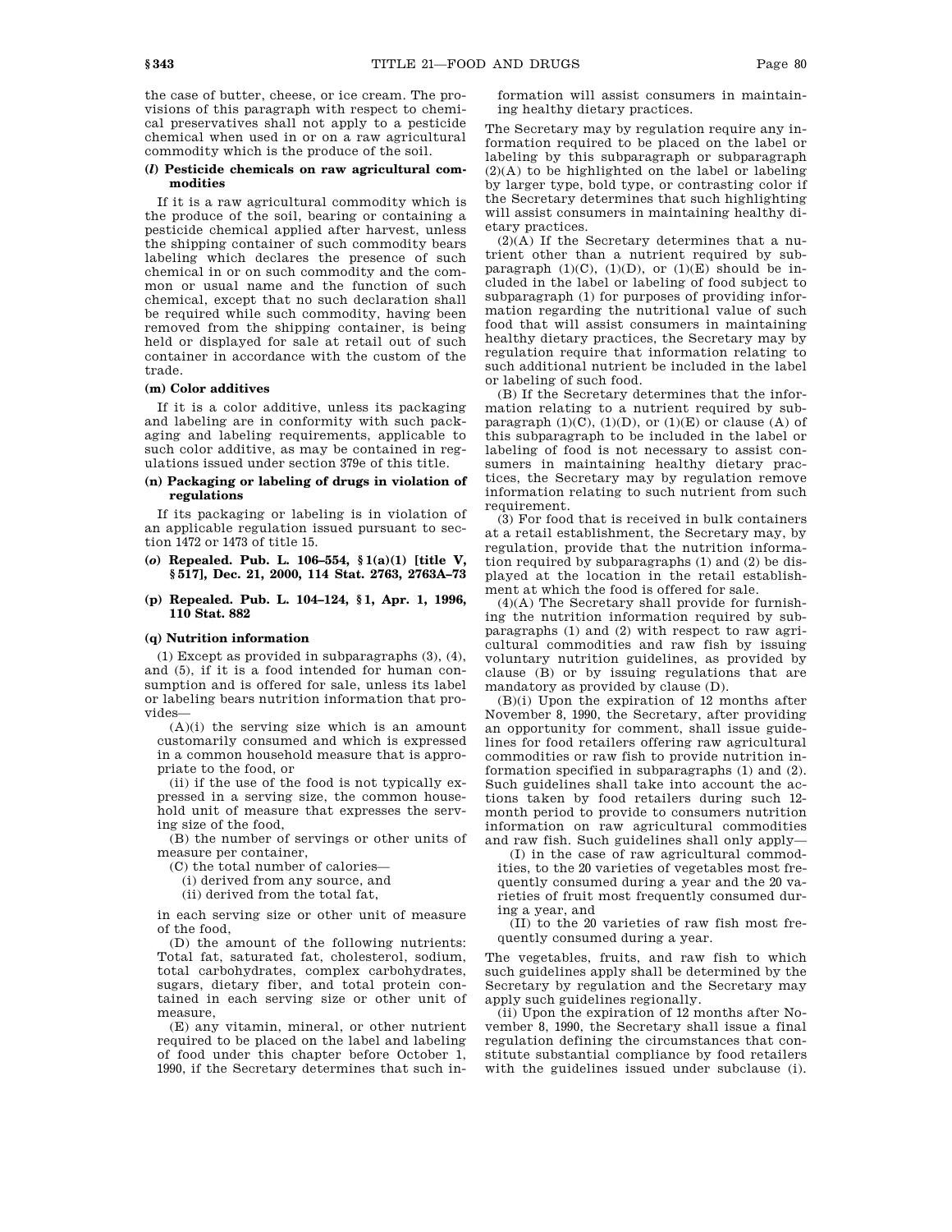the case of butter, cheese, or ice cream. The provisions of this paragraph with respect to chemical preservatives shall not apply to a pesticide chemical when used in or on a raw agricultural commodity which is the produce of the soil.

### **(***l***) Pesticide chemicals on raw agricultural commodities**

If it is a raw agricultural commodity which is the produce of the soil, bearing or containing a pesticide chemical applied after harvest, unless the shipping container of such commodity bears labeling which declares the presence of such chemical in or on such commodity and the common or usual name and the function of such chemical, except that no such declaration shall be required while such commodity, having been removed from the shipping container, is being held or displayed for sale at retail out of such container in accordance with the custom of the trade.

### **(m) Color additives**

If it is a color additive, unless its packaging and labeling are in conformity with such packaging and labeling requirements, applicable to such color additive, as may be contained in regulations issued under section 379e of this title.

### **(n) Packaging or labeling of drugs in violation of regulations**

If its packaging or labeling is in violation of an applicable regulation issued pursuant to section 1472 or 1473 of title 15.

# **(***o***) Repealed. Pub. L. 106–554, § 1(a)(1) [title V, § 517], Dec. 21, 2000, 114 Stat. 2763, 2763A–73**

**(p) Repealed. Pub. L. 104–124, § 1, Apr. 1, 1996, 110 Stat. 882**

# **(q) Nutrition information**

(1) Except as provided in subparagraphs (3), (4), and (5), if it is a food intended for human consumption and is offered for sale, unless its label or labeling bears nutrition information that provides—

 $(A)(i)$  the serving size which is an amount customarily consumed and which is expressed in a common household measure that is appropriate to the food, or

(ii) if the use of the food is not typically expressed in a serving size, the common household unit of measure that expresses the serving size of the food,

(B) the number of servings or other units of measure per container,

(C) the total number of calories—

(i) derived from any source, and

(ii) derived from the total fat,

in each serving size or other unit of measure of the food,

(D) the amount of the following nutrients: Total fat, saturated fat, cholesterol, sodium, total carbohydrates, complex carbohydrates, sugars, dietary fiber, and total protein contained in each serving size or other unit of measure,

(E) any vitamin, mineral, or other nutrient required to be placed on the label and labeling of food under this chapter before October 1, 1990, if the Secretary determines that such information will assist consumers in maintaining healthy dietary practices.

The Secretary may by regulation require any information required to be placed on the label or labeling by this subparagraph or subparagraph (2)(A) to be highlighted on the label or labeling by larger type, bold type, or contrasting color if the Secretary determines that such highlighting will assist consumers in maintaining healthy dietary practices.

(2)(A) If the Secretary determines that a nutrient other than a nutrient required by subparagraph  $(1)(C)$ ,  $(1)(D)$ , or  $(1)(E)$  should be included in the label or labeling of food subject to subparagraph (1) for purposes of providing information regarding the nutritional value of such food that will assist consumers in maintaining healthy dietary practices, the Secretary may by regulation require that information relating to such additional nutrient be included in the label or labeling of such food.

(B) If the Secretary determines that the information relating to a nutrient required by subparagraph  $(1)(C)$ ,  $(1)(D)$ , or  $(1)(E)$  or clause  $(A)$  of this subparagraph to be included in the label or labeling of food is not necessary to assist consumers in maintaining healthy dietary practices, the Secretary may by regulation remove information relating to such nutrient from such requirement.

(3) For food that is received in bulk containers at a retail establishment, the Secretary may, by regulation, provide that the nutrition information required by subparagraphs (1) and (2) be displayed at the location in the retail establishment at which the food is offered for sale.

(4)(A) The Secretary shall provide for furnishing the nutrition information required by subparagraphs (1) and (2) with respect to raw agricultural commodities and raw fish by issuing voluntary nutrition guidelines, as provided by clause (B) or by issuing regulations that are mandatory as provided by clause (D).

(B)(i) Upon the expiration of 12 months after November 8, 1990, the Secretary, after providing an opportunity for comment, shall issue guidelines for food retailers offering raw agricultural commodities or raw fish to provide nutrition information specified in subparagraphs (1) and (2). Such guidelines shall take into account the actions taken by food retailers during such 12 month period to provide to consumers nutrition information on raw agricultural commodities and raw fish. Such guidelines shall only apply—

(I) in the case of raw agricultural commodities, to the 20 varieties of vegetables most frequently consumed during a year and the 20 varieties of fruit most frequently consumed during a year, and

(II) to the 20 varieties of raw fish most frequently consumed during a year.

The vegetables, fruits, and raw fish to which such guidelines apply shall be determined by the Secretary by regulation and the Secretary may apply such guidelines regionally.

(ii) Upon the expiration of 12 months after November 8, 1990, the Secretary shall issue a final regulation defining the circumstances that constitute substantial compliance by food retailers with the guidelines issued under subclause (i).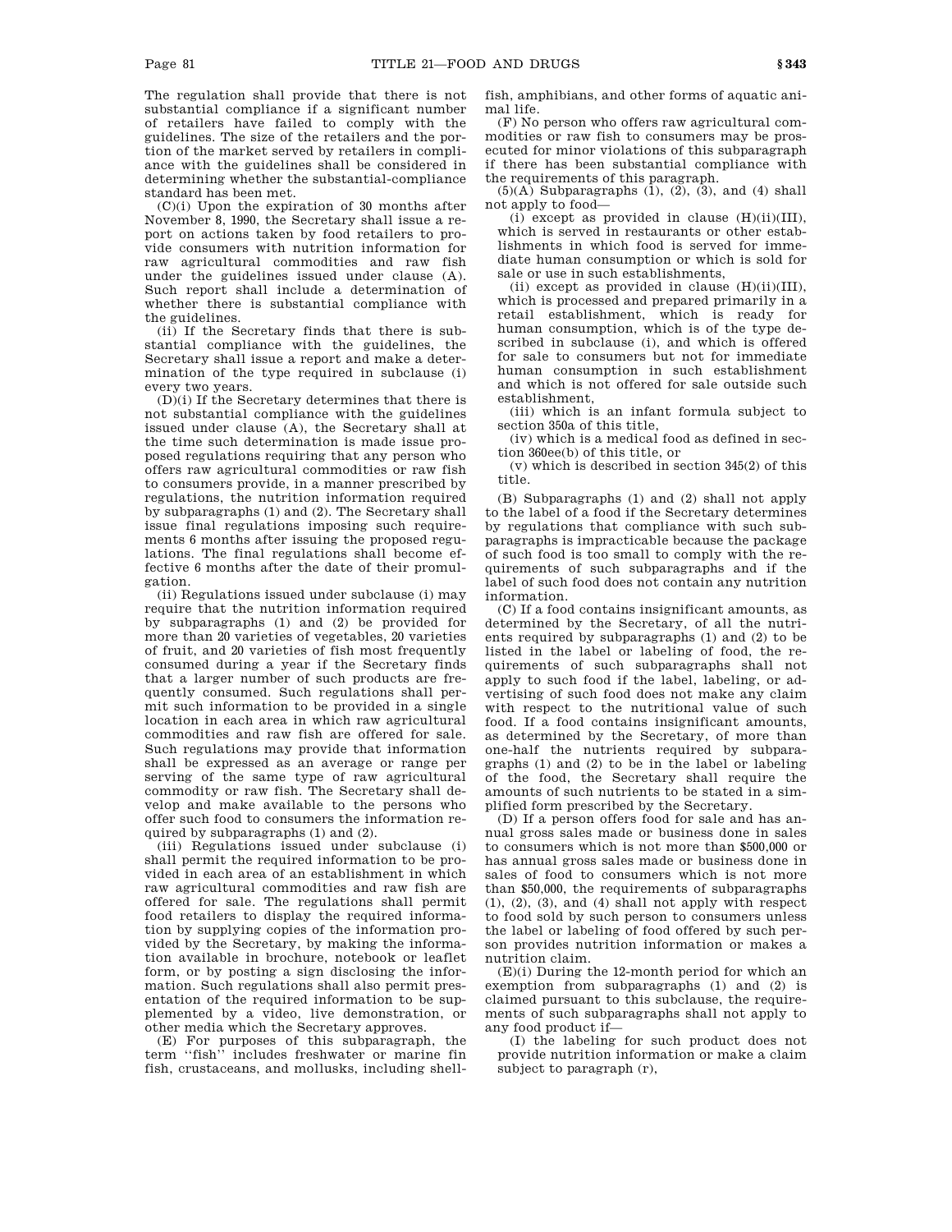The regulation shall provide that there is not substantial compliance if a significant number of retailers have failed to comply with the guidelines. The size of the retailers and the portion of the market served by retailers in compliance with the guidelines shall be considered in determining whether the substantial-compliance standard has been met.

(C)(i) Upon the expiration of 30 months after November 8, 1990, the Secretary shall issue a report on actions taken by food retailers to provide consumers with nutrition information for raw agricultural commodities and raw fish under the guidelines issued under clause (A). Such report shall include a determination of whether there is substantial compliance with the guidelines.

(ii) If the Secretary finds that there is substantial compliance with the guidelines, the Secretary shall issue a report and make a determination of the type required in subclause (i) every two years.

(D)(i) If the Secretary determines that there is not substantial compliance with the guidelines issued under clause (A), the Secretary shall at the time such determination is made issue proposed regulations requiring that any person who offers raw agricultural commodities or raw fish to consumers provide, in a manner prescribed by regulations, the nutrition information required by subparagraphs (1) and (2). The Secretary shall issue final regulations imposing such requirements 6 months after issuing the proposed regulations. The final regulations shall become effective 6 months after the date of their promulgation.

(ii) Regulations issued under subclause (i) may require that the nutrition information required by subparagraphs (1) and (2) be provided for more than 20 varieties of vegetables, 20 varieties of fruit, and 20 varieties of fish most frequently consumed during a year if the Secretary finds that a larger number of such products are frequently consumed. Such regulations shall permit such information to be provided in a single location in each area in which raw agricultural commodities and raw fish are offered for sale. Such regulations may provide that information shall be expressed as an average or range per serving of the same type of raw agricultural commodity or raw fish. The Secretary shall develop and make available to the persons who offer such food to consumers the information required by subparagraphs (1) and (2).

(iii) Regulations issued under subclause (i) shall permit the required information to be provided in each area of an establishment in which raw agricultural commodities and raw fish are offered for sale. The regulations shall permit food retailers to display the required information by supplying copies of the information provided by the Secretary, by making the information available in brochure, notebook or leaflet form, or by posting a sign disclosing the information. Such regulations shall also permit presentation of the required information to be supplemented by a video, live demonstration, or other media which the Secretary approves.

(E) For purposes of this subparagraph, the term ''fish'' includes freshwater or marine fin fish, crustaceans, and mollusks, including shellfish, amphibians, and other forms of aquatic animal life.

(F) No person who offers raw agricultural commodities or raw fish to consumers may be prosecuted for minor violations of this subparagraph if there has been substantial compliance with the requirements of this paragraph.

 $(5)(A)$  Subparagraphs  $(1)$ ,  $(2)$ ,  $(3)$ , and  $(4)$  shall not apply to food—

 $(i)$  except as provided in clause  $(H)(ii)(III)$ , which is served in restaurants or other establishments in which food is served for immediate human consumption or which is sold for sale or use in such establishments,

(ii) except as provided in clause  $(H)(iii)(III)$ , which is processed and prepared primarily in a retail establishment, which is ready for human consumption, which is of the type described in subclause (i), and which is offered for sale to consumers but not for immediate human consumption in such establishment and which is not offered for sale outside such establishment,

(iii) which is an infant formula subject to section 350a of this title,

(iv) which is a medical food as defined in section 360ee(b) of this title, or

(v) which is described in section 345(2) of this title.

(B) Subparagraphs (1) and (2) shall not apply to the label of a food if the Secretary determines by regulations that compliance with such subparagraphs is impracticable because the package of such food is too small to comply with the requirements of such subparagraphs and if the label of such food does not contain any nutrition information.

(C) If a food contains insignificant amounts, as determined by the Secretary, of all the nutrients required by subparagraphs (1) and (2) to be listed in the label or labeling of food, the requirements of such subparagraphs shall not apply to such food if the label, labeling, or advertising of such food does not make any claim with respect to the nutritional value of such food. If a food contains insignificant amounts, as determined by the Secretary, of more than one-half the nutrients required by subparagraphs (1) and (2) to be in the label or labeling of the food, the Secretary shall require the amounts of such nutrients to be stated in a simplified form prescribed by the Secretary.

(D) If a person offers food for sale and has annual gross sales made or business done in sales to consumers which is not more than \$500,000 or has annual gross sales made or business done in sales of food to consumers which is not more than \$50,000, the requirements of subparagraphs  $(1), (2), (3),$  and  $(4)$  shall not apply with respect to food sold by such person to consumers unless the label or labeling of food offered by such person provides nutrition information or makes a nutrition claim.

(E)(i) During the 12-month period for which an exemption from subparagraphs (1) and (2) is claimed pursuant to this subclause, the requirements of such subparagraphs shall not apply to any food product if—

(I) the labeling for such product does not provide nutrition information or make a claim subject to paragraph (r),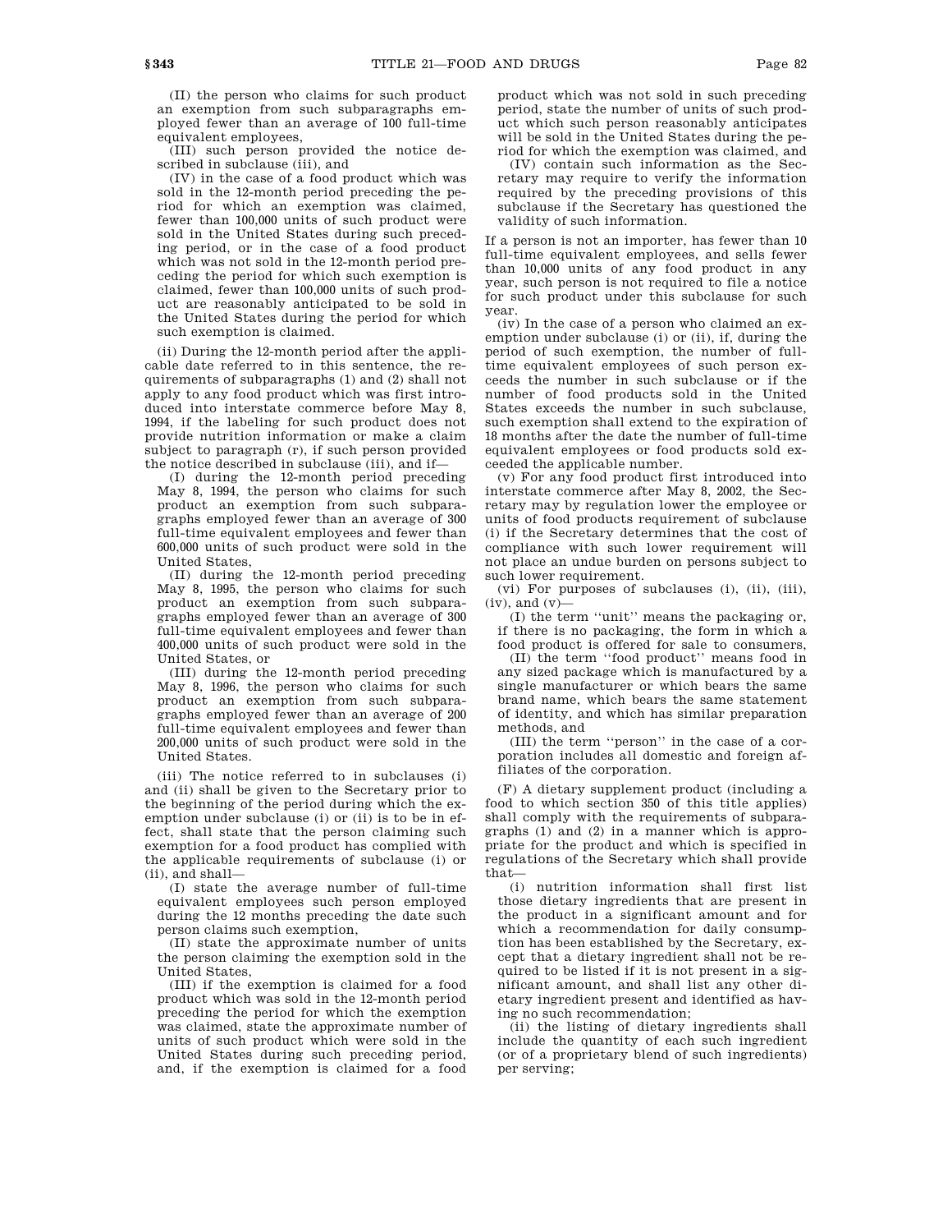equivalent employees, (III) such person provided the notice described in subclause (iii), and

(IV) in the case of a food product which was sold in the 12-month period preceding the period for which an exemption was claimed, fewer than 100,000 units of such product were sold in the United States during such preceding period, or in the case of a food product which was not sold in the 12-month period preceding the period for which such exemption is claimed, fewer than 100,000 units of such product are reasonably anticipated to be sold in the United States during the period for which such exemption is claimed.

(ii) During the 12-month period after the applicable date referred to in this sentence, the requirements of subparagraphs (1) and (2) shall not apply to any food product which was first introduced into interstate commerce before May 8, 1994, if the labeling for such product does not provide nutrition information or make a claim subject to paragraph (r), if such person provided the notice described in subclause (iii), and if—

(I) during the 12-month period preceding May 8, 1994, the person who claims for such product an exemption from such subparagraphs employed fewer than an average of 300 full-time equivalent employees and fewer than 600,000 units of such product were sold in the United States,

(II) during the 12-month period preceding May 8, 1995, the person who claims for such product an exemption from such subparagraphs employed fewer than an average of 300 full-time equivalent employees and fewer than 400,000 units of such product were sold in the United States, or

(III) during the 12-month period preceding May 8, 1996, the person who claims for such product an exemption from such subparagraphs employed fewer than an average of 200 full-time equivalent employees and fewer than 200,000 units of such product were sold in the United States.

(iii) The notice referred to in subclauses (i) and (ii) shall be given to the Secretary prior to the beginning of the period during which the exemption under subclause (i) or (ii) is to be in effect, shall state that the person claiming such exemption for a food product has complied with the applicable requirements of subclause (i) or (ii), and shall—

(I) state the average number of full-time equivalent employees such person employed during the 12 months preceding the date such person claims such exemption,

(II) state the approximate number of units the person claiming the exemption sold in the United States,

(III) if the exemption is claimed for a food product which was sold in the 12-month period preceding the period for which the exemption was claimed, state the approximate number of units of such product which were sold in the United States during such preceding period, and, if the exemption is claimed for a food

product which was not sold in such preceding period, state the number of units of such product which such person reasonably anticipates will be sold in the United States during the period for which the exemption was claimed, and

(IV) contain such information as the Secretary may require to verify the information required by the preceding provisions of this subclause if the Secretary has questioned the validity of such information.

If a person is not an importer, has fewer than 10 full-time equivalent employees, and sells fewer than 10,000 units of any food product in any year, such person is not required to file a notice for such product under this subclause for such year.

(iv) In the case of a person who claimed an exemption under subclause (i) or (ii), if, during the period of such exemption, the number of fulltime equivalent employees of such person exceeds the number in such subclause or if the number of food products sold in the United States exceeds the number in such subclause, such exemption shall extend to the expiration of 18 months after the date the number of full-time equivalent employees or food products sold exceeded the applicable number.

(v) For any food product first introduced into interstate commerce after May 8, 2002, the Secretary may by regulation lower the employee or units of food products requirement of subclause (i) if the Secretary determines that the cost of compliance with such lower requirement will not place an undue burden on persons subject to such lower requirement.

(vi) For purposes of subclauses (i), (ii), (iii),  $(iv)$ , and  $(v)$ –

(I) the term ''unit'' means the packaging or, if there is no packaging, the form in which a food product is offered for sale to consumers,

(II) the term ''food product'' means food in any sized package which is manufactured by a single manufacturer or which bears the same brand name, which bears the same statement of identity, and which has similar preparation methods, and

(III) the term ''person'' in the case of a corporation includes all domestic and foreign affiliates of the corporation.

(F) A dietary supplement product (including a food to which section 350 of this title applies) shall comply with the requirements of subparagraphs (1) and (2) in a manner which is appropriate for the product and which is specified in regulations of the Secretary which shall provide that—

(i) nutrition information shall first list those dietary ingredients that are present in the product in a significant amount and for which a recommendation for daily consumption has been established by the Secretary, except that a dietary ingredient shall not be required to be listed if it is not present in a significant amount, and shall list any other dietary ingredient present and identified as having no such recommendation;

(ii) the listing of dietary ingredients shall include the quantity of each such ingredient (or of a proprietary blend of such ingredients) per serving;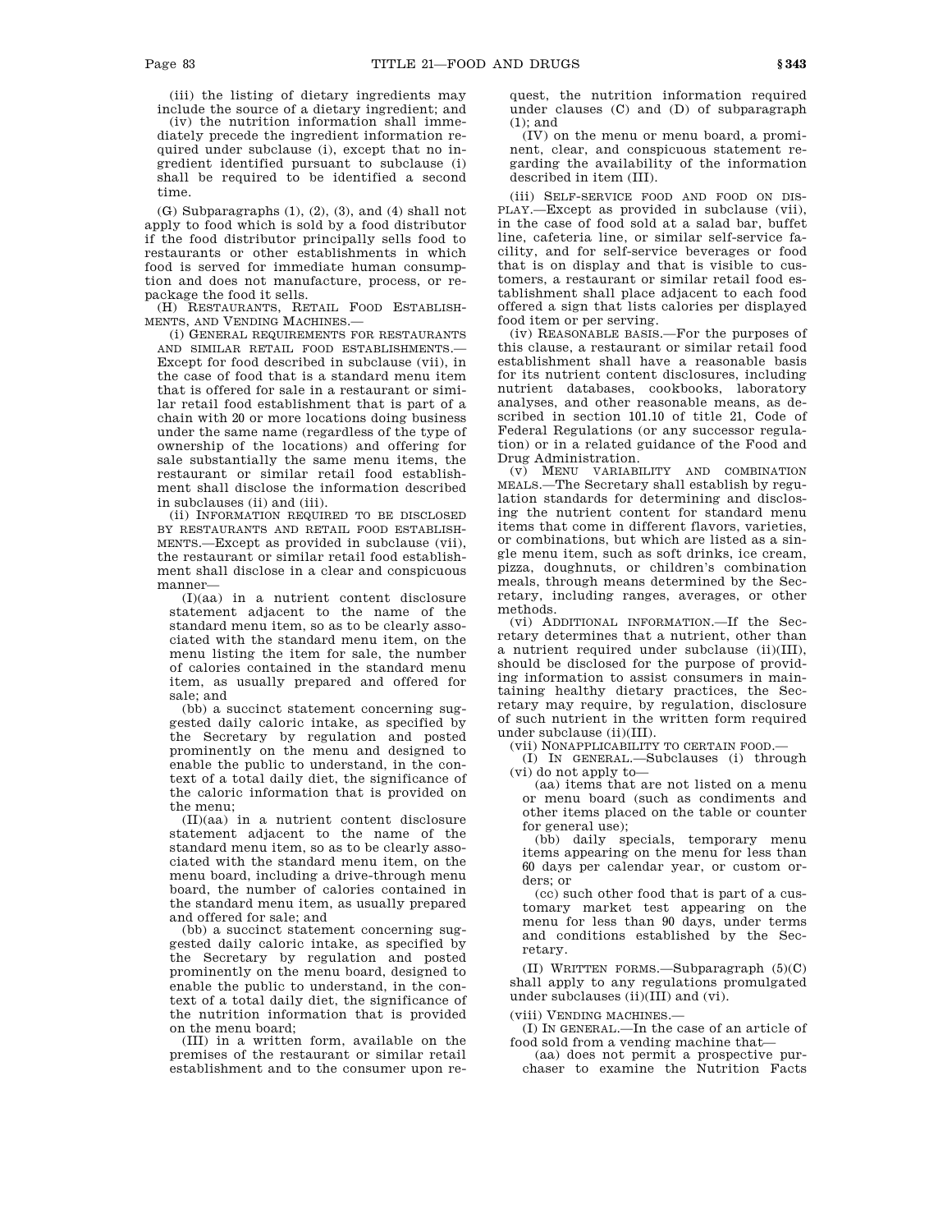(iii) the listing of dietary ingredients may include the source of a dietary ingredient; and

(iv) the nutrition information shall immediately precede the ingredient information required under subclause (i), except that no ingredient identified pursuant to subclause (i) shall be required to be identified a second time.

(G) Subparagraphs (1), (2), (3), and (4) shall not apply to food which is sold by a food distributor if the food distributor principally sells food to restaurants or other establishments in which food is served for immediate human consumption and does not manufacture, process, or repackage the food it sells.

(H) RESTAURANTS, RETAIL FOOD ESTABLISH-MENTS, AND VENDING MACHINES-

(i) GENERAL REQUIREMENTS FOR RESTAURANTS AND SIMILAR RETAIL FOOD ESTABLISHMENTS.— Except for food described in subclause (vii), in the case of food that is a standard menu item that is offered for sale in a restaurant or similar retail food establishment that is part of a chain with 20 or more locations doing business under the same name (regardless of the type of ownership of the locations) and offering for sale substantially the same menu items, the restaurant or similar retail food establishment shall disclose the information described in subclauses (ii) and (iii).

(ii) INFORMATION REQUIRED TO BE DISCLOSED BY RESTAURANTS AND RETAIL FOOD ESTABLISH-MENTS.—Except as provided in subclause (vii), the restaurant or similar retail food establishment shall disclose in a clear and conspicuous manner—

(I)(aa) in a nutrient content disclosure statement adjacent to the name of the standard menu item, so as to be clearly associated with the standard menu item, on the menu listing the item for sale, the number of calories contained in the standard menu item, as usually prepared and offered for sale; and

(bb) a succinct statement concerning suggested daily caloric intake, as specified by the Secretary by regulation and posted prominently on the menu and designed to enable the public to understand, in the context of a total daily diet, the significance of the caloric information that is provided on the menu;

(II)(aa) in a nutrient content disclosure statement adjacent to the name of the standard menu item, so as to be clearly associated with the standard menu item, on the menu board, including a drive-through menu board, the number of calories contained in the standard menu item, as usually prepared and offered for sale; and

(bb) a succinct statement concerning suggested daily caloric intake, as specified by the Secretary by regulation and posted prominently on the menu board, designed to enable the public to understand, in the context of a total daily diet, the significance of the nutrition information that is provided on the menu board;

(III) in a written form, available on the premises of the restaurant or similar retail establishment and to the consumer upon request, the nutrition information required under clauses (C) and (D) of subparagraph (1); and

(IV) on the menu or menu board, a prominent, clear, and conspicuous statement regarding the availability of the information described in item (III).

(iii) SELF-SERVICE FOOD AND FOOD ON DIS-PLAY.—Except as provided in subclause (vii), in the case of food sold at a salad bar, buffet line, cafeteria line, or similar self-service facility, and for self-service beverages or food that is on display and that is visible to customers, a restaurant or similar retail food establishment shall place adjacent to each food offered a sign that lists calories per displayed food item or per serving.

(iv) REASONABLE BASIS.—For the purposes of this clause, a restaurant or similar retail food establishment shall have a reasonable basis for its nutrient content disclosures, including nutrient databases, cookbooks, laboratory analyses, and other reasonable means, as described in section 101.10 of title 21, Code of Federal Regulations (or any successor regulation) or in a related guidance of the Food and Drug Administration.

(v) MENU VARIABILITY AND COMBINATION MEALS.—The Secretary shall establish by regulation standards for determining and disclosing the nutrient content for standard menu items that come in different flavors, varieties, or combinations, but which are listed as a single menu item, such as soft drinks, ice cream, pizza, doughnuts, or children's combination meals, through means determined by the Secretary, including ranges, averages, or other methods.

(vi) ADDITIONAL INFORMATION.—If the Secretary determines that a nutrient, other than a nutrient required under subclause (ii)(III), should be disclosed for the purpose of providing information to assist consumers in maintaining healthy dietary practices, the Secretary may require, by regulation, disclosure of such nutrient in the written form required under subclause (ii)(III).

(vii) NONAPPLICABILITY TO CERTAIN FOOD.—

(I) IN GENERAL.—Subclauses (i) through (vi) do not apply to—

(aa) items that are not listed on a menu or menu board (such as condiments and other items placed on the table or counter for general use);

(bb) daily specials, temporary menu items appearing on the menu for less than 60 days per calendar year, or custom orders; or

(cc) such other food that is part of a customary market test appearing on the menu for less than 90 days, under terms and conditions established by the Secretary.

(II) WRITTEN FORMS.—Subparagraph (5)(C) shall apply to any regulations promulgated under subclauses (ii)(III) and (vi).

(viii) VENDING MACHINES.—

(I) IN GENERAL.—In the case of an article of food sold from a vending machine that—

(aa) does not permit a prospective purchaser to examine the Nutrition Facts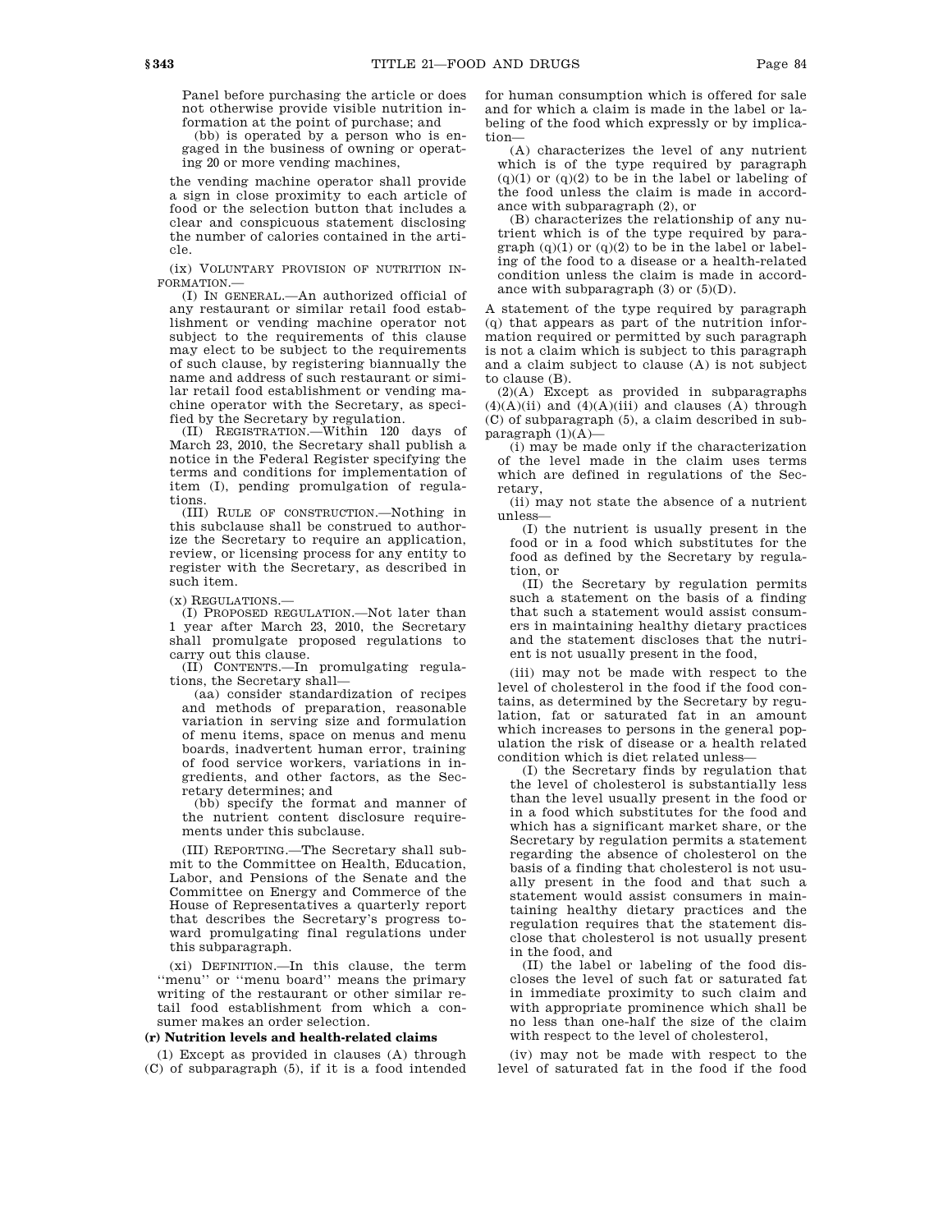Panel before purchasing the article or does not otherwise provide visible nutrition information at the point of purchase; and

(bb) is operated by a person who is engaged in the business of owning or operating 20 or more vending machines,

the vending machine operator shall provide a sign in close proximity to each article of food or the selection button that includes a clear and conspicuous statement disclosing the number of calories contained in the article.

(ix) VOLUNTARY PROVISION OF NUTRITION IN-FORMATION.—

(I) IN GENERAL.—An authorized official of any restaurant or similar retail food establishment or vending machine operator not subject to the requirements of this clause may elect to be subject to the requirements of such clause, by registering biannually the name and address of such restaurant or similar retail food establishment or vending machine operator with the Secretary, as specified by the Secretary by regulation.

(II) REGISTRATION.—Within 120 days of March 23, 2010, the Secretary shall publish a notice in the Federal Register specifying the terms and conditions for implementation of item (I), pending promulgation of regulations.

(III) RULE OF CONSTRUCTION.—Nothing in this subclause shall be construed to authorize the Secretary to require an application, review, or licensing process for any entity to register with the Secretary, as described in such item.

(x) REGULATIONS.—

(I) PROPOSED REGULATION.—Not later than 1 year after March 23, 2010, the Secretary shall promulgate proposed regulations to carry out this clause.

(II) CONTENTS.—In promulgating regulations, the Secretary shall—

(aa) consider standardization of recipes and methods of preparation, reasonable variation in serving size and formulation of menu items, space on menus and menu boards, inadvertent human error, training of food service workers, variations in ingredients, and other factors, as the Secretary determines; and

(bb) specify the format and manner of the nutrient content disclosure requirements under this subclause.

(III) REPORTING.—The Secretary shall submit to the Committee on Health, Education, Labor, and Pensions of the Senate and the Committee on Energy and Commerce of the House of Representatives a quarterly report that describes the Secretary's progress toward promulgating final regulations under this subparagraph.

(xi) DEFINITION.—In this clause, the term ''menu'' or ''menu board'' means the primary writing of the restaurant or other similar retail food establishment from which a consumer makes an order selection.

#### **(r) Nutrition levels and health-related claims**

(1) Except as provided in clauses (A) through (C) of subparagraph (5), if it is a food intended for human consumption which is offered for sale and for which a claim is made in the label or labeling of the food which expressly or by implication—

(A) characterizes the level of any nutrient which is of the type required by paragraph  $(q)(1)$  or  $(q)(2)$  to be in the label or labeling of the food unless the claim is made in accordance with subparagraph (2), or

(B) characterizes the relationship of any nutrient which is of the type required by paragraph  $(q)(1)$  or  $(q)(2)$  to be in the label or labeling of the food to a disease or a health-related condition unless the claim is made in accordance with subparagraph  $(3)$  or  $(5)(D)$ .

A statement of the type required by paragraph (q) that appears as part of the nutrition information required or permitted by such paragraph is not a claim which is subject to this paragraph and a claim subject to clause (A) is not subject to clause (B).

 $(2)(A)$  Except as provided in subparagraphs  $(4)(A)(ii)$  and  $(4)(A)(iii)$  and clauses  $(A)$  through (C) of subparagraph (5), a claim described in subparagraph  $(1)(A)$ —

(i) may be made only if the characterization of the level made in the claim uses terms which are defined in regulations of the Secretary,

(ii) may not state the absence of a nutrient unless—

(I) the nutrient is usually present in the food or in a food which substitutes for the food as defined by the Secretary by regulation, or

(II) the Secretary by regulation permits such a statement on the basis of a finding that such a statement would assist consumers in maintaining healthy dietary practices and the statement discloses that the nutrient is not usually present in the food,

(iii) may not be made with respect to the level of cholesterol in the food if the food contains, as determined by the Secretary by regulation, fat or saturated fat in an amount which increases to persons in the general population the risk of disease or a health related condition which is diet related unless—

(I) the Secretary finds by regulation that the level of cholesterol is substantially less than the level usually present in the food or in a food which substitutes for the food and which has a significant market share, or the Secretary by regulation permits a statement regarding the absence of cholesterol on the basis of a finding that cholesterol is not usually present in the food and that such a statement would assist consumers in maintaining healthy dietary practices and the regulation requires that the statement disclose that cholesterol is not usually present in the food, and

(II) the label or labeling of the food discloses the level of such fat or saturated fat in immediate proximity to such claim and with appropriate prominence which shall be no less than one-half the size of the claim with respect to the level of cholesterol,

(iv) may not be made with respect to the level of saturated fat in the food if the food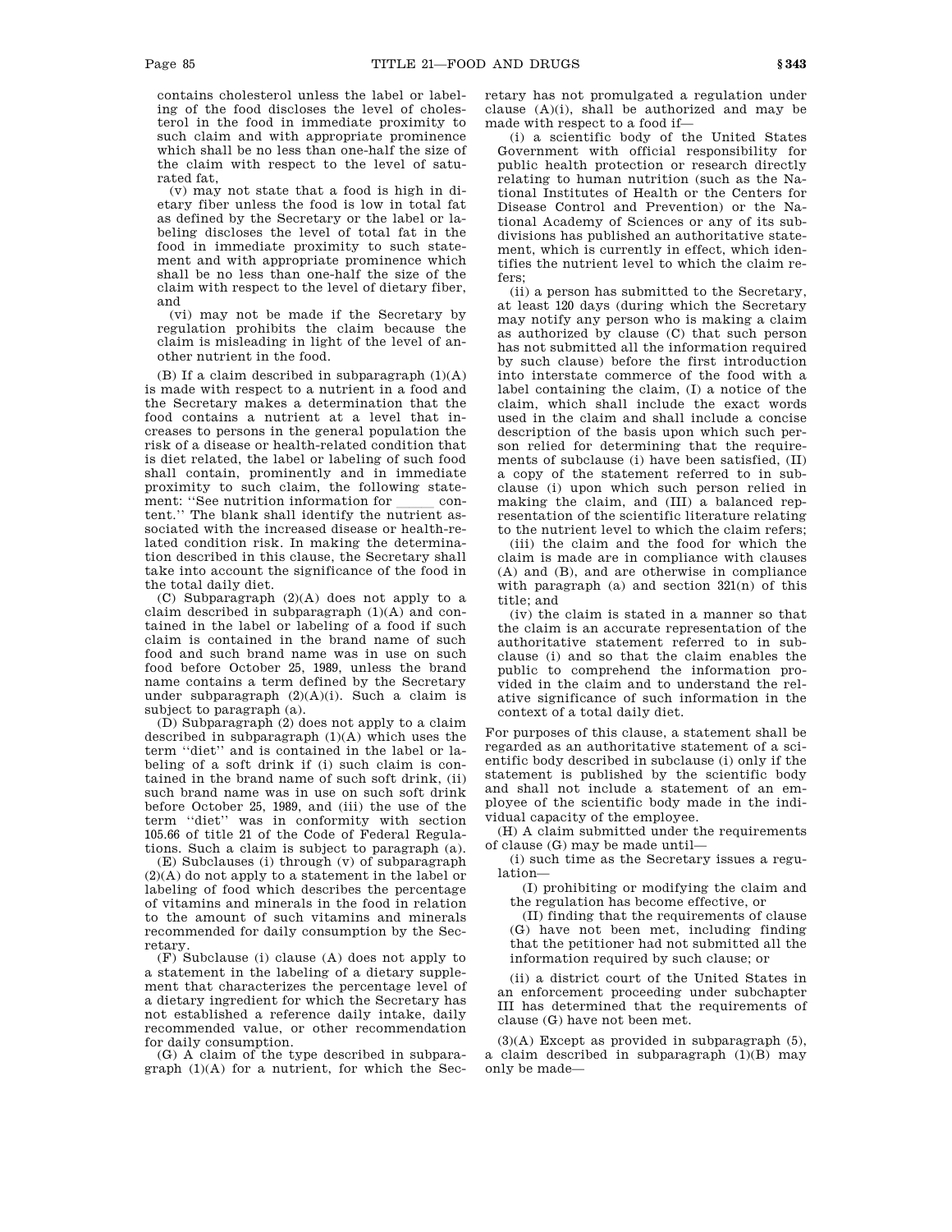contains cholesterol unless the label or labeling of the food discloses the level of cholesterol in the food in immediate proximity to such claim and with appropriate prominence which shall be no less than one-half the size of the claim with respect to the level of saturated fat,

(v) may not state that a food is high in dietary fiber unless the food is low in total fat as defined by the Secretary or the label or labeling discloses the level of total fat in the food in immediate proximity to such statement and with appropriate prominence which shall be no less than one-half the size of the claim with respect to the level of dietary fiber, and

(vi) may not be made if the Secretary by regulation prohibits the claim because the claim is misleading in light of the level of another nutrient in the food.

(B) If a claim described in subparagraph  $(1)(A)$ is made with respect to a nutrient in a food and the Secretary makes a determination that the food contains a nutrient at a level that increases to persons in the general population the risk of a disease or health-related condition that is diet related, the label or labeling of such food shall contain, prominently and in immediate proximity to such claim, the following statement: ''See nutrition information for content.'' The blank shall identify the nutrient associated with the increased disease or health-related condition risk. In making the determination described in this clause, the Secretary shall take into account the significance of the food in the total daily diet.

(C) Subparagraph (2)(A) does not apply to a claim described in subparagraph  $(1)(A)$  and contained in the label or labeling of a food if such claim is contained in the brand name of such food and such brand name was in use on such food before October 25, 1989, unless the brand name contains a term defined by the Secretary under subparagraph (2)(A)(i). Such a claim is subject to paragraph (a).

(D) Subparagraph (2) does not apply to a claim described in subparagraph (1)(A) which uses the term ''diet'' and is contained in the label or labeling of a soft drink if (i) such claim is contained in the brand name of such soft drink, (ii) such brand name was in use on such soft drink before October 25, 1989, and (iii) the use of the term ''diet'' was in conformity with section 105.66 of title 21 of the Code of Federal Regulations. Such a claim is subject to paragraph (a).

(E) Subclauses (i) through (v) of subparagraph (2)(A) do not apply to a statement in the label or labeling of food which describes the percentage of vitamins and minerals in the food in relation to the amount of such vitamins and minerals recommended for daily consumption by the Secretary.

(F) Subclause (i) clause (A) does not apply to a statement in the labeling of a dietary supplement that characterizes the percentage level of a dietary ingredient for which the Secretary has not established a reference daily intake, daily recommended value, or other recommendation for daily consumption.

(G) A claim of the type described in subparagraph (1)(A) for a nutrient, for which the Secretary has not promulgated a regulation under clause (A)(i), shall be authorized and may be made with respect to a food if—

(i) a scientific body of the United States Government with official responsibility for public health protection or research directly relating to human nutrition (such as the National Institutes of Health or the Centers for Disease Control and Prevention) or the National Academy of Sciences or any of its subdivisions has published an authoritative statement, which is currently in effect, which identifies the nutrient level to which the claim refers;

(ii) a person has submitted to the Secretary, at least 120 days (during which the Secretary may notify any person who is making a claim as authorized by clause (C) that such person has not submitted all the information required by such clause) before the first introduction into interstate commerce of the food with a label containing the claim, (I) a notice of the claim, which shall include the exact words used in the claim and shall include a concise description of the basis upon which such person relied for determining that the requirements of subclause (i) have been satisfied, (II) a copy of the statement referred to in subclause (i) upon which such person relied in making the claim, and (III) a balanced representation of the scientific literature relating to the nutrient level to which the claim refers;

(iii) the claim and the food for which the claim is made are in compliance with clauses (A) and (B), and are otherwise in compliance with paragraph (a) and section  $321(n)$  of this title; and

(iv) the claim is stated in a manner so that the claim is an accurate representation of the authoritative statement referred to in subclause (i) and so that the claim enables the public to comprehend the information provided in the claim and to understand the relative significance of such information in the context of a total daily diet.

For purposes of this clause, a statement shall be regarded as an authoritative statement of a scientific body described in subclause (i) only if the statement is published by the scientific body and shall not include a statement of an employee of the scientific body made in the individual capacity of the employee.

(H) A claim submitted under the requirements of clause (G) may be made until—

(i) such time as the Secretary issues a regulation—

(I) prohibiting or modifying the claim and the regulation has become effective, or

(II) finding that the requirements of clause (G) have not been met, including finding that the petitioner had not submitted all the information required by such clause; or

(ii) a district court of the United States in an enforcement proceeding under subchapter III has determined that the requirements of clause (G) have not been met.

(3)(A) Except as provided in subparagraph (5), a claim described in subparagraph (1)(B) may only be made—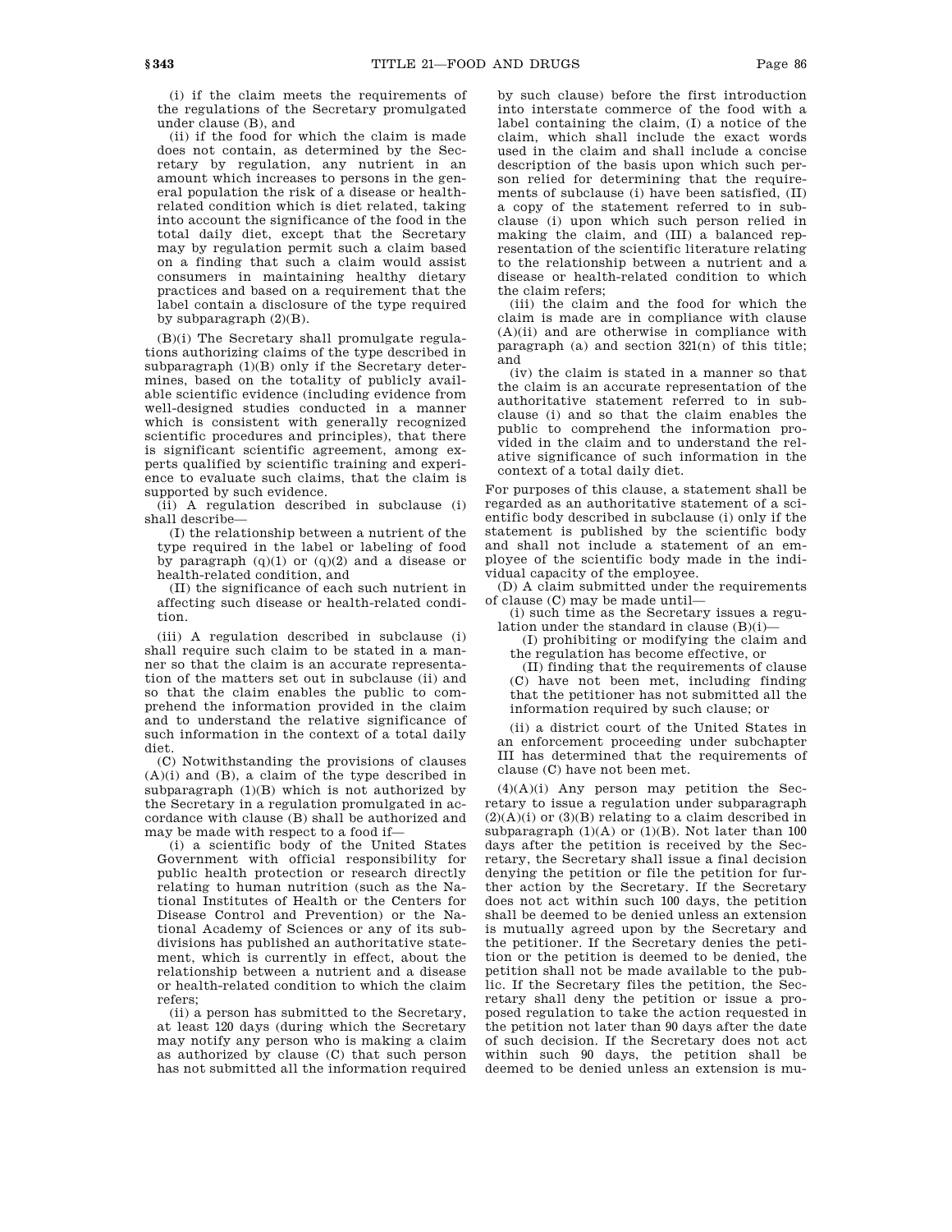(i) if the claim meets the requirements of the regulations of the Secretary promulgated under clause (B), and

(ii) if the food for which the claim is made does not contain, as determined by the Secretary by regulation, any nutrient in an amount which increases to persons in the general population the risk of a disease or healthrelated condition which is diet related, taking into account the significance of the food in the total daily diet, except that the Secretary may by regulation permit such a claim based on a finding that such a claim would assist consumers in maintaining healthy dietary practices and based on a requirement that the label contain a disclosure of the type required by subparagraph (2)(B).

(B)(i) The Secretary shall promulgate regulations authorizing claims of the type described in subparagraph (1)(B) only if the Secretary determines, based on the totality of publicly available scientific evidence (including evidence from well-designed studies conducted in a manner which is consistent with generally recognized scientific procedures and principles), that there is significant scientific agreement, among experts qualified by scientific training and experience to evaluate such claims, that the claim is supported by such evidence.

(ii) A regulation described in subclause (i) shall describe—

(I) the relationship between a nutrient of the type required in the label or labeling of food by paragraph  $(q)(1)$  or  $(q)(2)$  and a disease or health-related condition, and

(II) the significance of each such nutrient in affecting such disease or health-related condition.

(iii) A regulation described in subclause (i) shall require such claim to be stated in a manner so that the claim is an accurate representation of the matters set out in subclause (ii) and so that the claim enables the public to comprehend the information provided in the claim and to understand the relative significance of such information in the context of a total daily diet.

(C) Notwithstanding the provisions of clauses (A)(i) and (B), a claim of the type described in subparagraph  $(1)(B)$  which is not authorized by the Secretary in a regulation promulgated in accordance with clause (B) shall be authorized and may be made with respect to a food if—

(i) a scientific body of the United States Government with official responsibility for public health protection or research directly relating to human nutrition (such as the National Institutes of Health or the Centers for Disease Control and Prevention) or the National Academy of Sciences or any of its subdivisions has published an authoritative statement, which is currently in effect, about the relationship between a nutrient and a disease or health-related condition to which the claim refers;

(ii) a person has submitted to the Secretary, at least 120 days (during which the Secretary may notify any person who is making a claim as authorized by clause (C) that such person has not submitted all the information required by such clause) before the first introduction into interstate commerce of the food with a label containing the claim, (I) a notice of the claim, which shall include the exact words used in the claim and shall include a concise description of the basis upon which such person relied for determining that the requirements of subclause (i) have been satisfied, (II) a copy of the statement referred to in subclause (i) upon which such person relied in making the claim, and (III) a balanced representation of the scientific literature relating to the relationship between a nutrient and a disease or health-related condition to which the claim refers;

(iii) the claim and the food for which the claim is made are in compliance with clause  $(A)(ii)$  and are otherwise in compliance with paragraph (a) and section 321(n) of this title; and

(iv) the claim is stated in a manner so that the claim is an accurate representation of the authoritative statement referred to in subclause (i) and so that the claim enables the public to comprehend the information provided in the claim and to understand the relative significance of such information in the context of a total daily diet.

For purposes of this clause, a statement shall be regarded as an authoritative statement of a scientific body described in subclause (i) only if the statement is published by the scientific body and shall not include a statement of an employee of the scientific body made in the individual capacity of the employee.

(D) A claim submitted under the requirements of clause (C) may be made until—

(i) such time as the Secretary issues a regulation under the standard in clause  $(B)(i)$ -

(I) prohibiting or modifying the claim and the regulation has become effective, or

(II) finding that the requirements of clause (C) have not been met, including finding that the petitioner has not submitted all the information required by such clause; or

(ii) a district court of the United States in an enforcement proceeding under subchapter III has determined that the requirements of clause (C) have not been met.

 $(4)(A)(i)$  Any person may petition the Secretary to issue a regulation under subparagraph  $(2)(A)(i)$  or  $(3)(B)$  relating to a claim described in subparagraph  $(1)(A)$  or  $(1)(B)$ . Not later than 100 days after the petition is received by the Secretary, the Secretary shall issue a final decision denying the petition or file the petition for further action by the Secretary. If the Secretary does not act within such 100 days, the petition shall be deemed to be denied unless an extension is mutually agreed upon by the Secretary and the petitioner. If the Secretary denies the petition or the petition is deemed to be denied, the petition shall not be made available to the public. If the Secretary files the petition, the Secretary shall deny the petition or issue a proposed regulation to take the action requested in the petition not later than 90 days after the date of such decision. If the Secretary does not act within such 90 days, the petition shall be deemed to be denied unless an extension is mu-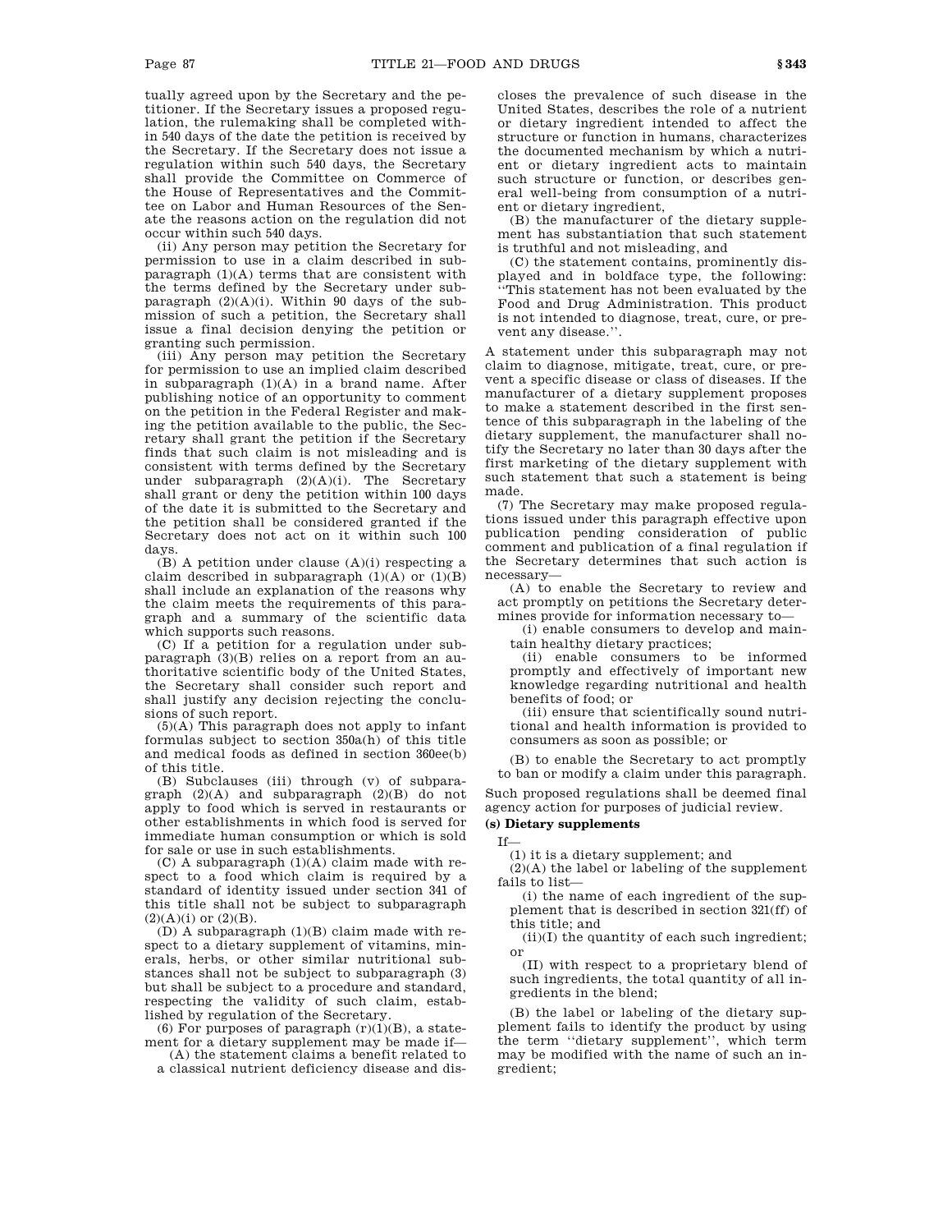tually agreed upon by the Secretary and the petitioner. If the Secretary issues a proposed regulation, the rulemaking shall be completed within 540 days of the date the petition is received by the Secretary. If the Secretary does not issue a regulation within such 540 days, the Secretary shall provide the Committee on Commerce of the House of Representatives and the Committee on Labor and Human Resources of the Senate the reasons action on the regulation did not occur within such 540 days.

(ii) Any person may petition the Secretary for permission to use in a claim described in subparagraph (1)(A) terms that are consistent with the terms defined by the Secretary under subparagraph (2)(A)(i). Within 90 days of the submission of such a petition, the Secretary shall issue a final decision denying the petition or granting such permission.

(iii) Any person may petition the Secretary for permission to use an implied claim described in subparagraph  $(1)(A)$  in a brand name. After publishing notice of an opportunity to comment on the petition in the Federal Register and making the petition available to the public, the Secretary shall grant the petition if the Secretary finds that such claim is not misleading and is consistent with terms defined by the Secretary under subparagraph  $(2)(A)(i)$ . The Secretary shall grant or deny the petition within 100 days of the date it is submitted to the Secretary and the petition shall be considered granted if the Secretary does not act on it within such 100 days.

 $(B)$  A petition under clause  $(A)(i)$  respecting a claim described in subparagraph  $(1)(A)$  or  $(1)(B)$ shall include an explanation of the reasons why the claim meets the requirements of this paragraph and a summary of the scientific data which supports such reasons.

(C) If a petition for a regulation under subparagraph (3)(B) relies on a report from an authoritative scientific body of the United States, the Secretary shall consider such report and shall justify any decision rejecting the conclusions of such report.

(5)(A) This paragraph does not apply to infant formulas subject to section 350a(h) of this title and medical foods as defined in section 360ee(b) of this title.

(B) Subclauses (iii) through (v) of subparagraph (2)(A) and subparagraph (2)(B) do not apply to food which is served in restaurants or other establishments in which food is served for immediate human consumption or which is sold for sale or use in such establishments.

 $(C)$  A subparagraph  $(1)(A)$  claim made with respect to a food which claim is required by a standard of identity issued under section 341 of this title shall not be subject to subparagraph  $(2)(A)(i)$  or  $(2)(B)$ .

(D) A subparagraph (1)(B) claim made with respect to a dietary supplement of vitamins, minerals, herbs, or other similar nutritional substances shall not be subject to subparagraph (3) but shall be subject to a procedure and standard, respecting the validity of such claim, established by regulation of the Secretary.

(6) For purposes of paragraph  $(r)(1)(B)$ , a statement for a dietary supplement may be made if—

(A) the statement claims a benefit related to a classical nutrient deficiency disease and discloses the prevalence of such disease in the United States, describes the role of a nutrient or dietary ingredient intended to affect the structure or function in humans, characterizes the documented mechanism by which a nutrient or dietary ingredient acts to maintain such structure or function, or describes general well-being from consumption of a nutrient or dietary ingredient,

(B) the manufacturer of the dietary supplement has substantiation that such statement is truthful and not misleading, and

(C) the statement contains, prominently displayed and in boldface type, the following: ''This statement has not been evaluated by the Food and Drug Administration. This product is not intended to diagnose, treat, cure, or prevent any disease.''.

A statement under this subparagraph may not claim to diagnose, mitigate, treat, cure, or prevent a specific disease or class of diseases. If the manufacturer of a dietary supplement proposes to make a statement described in the first sentence of this subparagraph in the labeling of the dietary supplement, the manufacturer shall notify the Secretary no later than 30 days after the first marketing of the dietary supplement with such statement that such a statement is being made.

(7) The Secretary may make proposed regulations issued under this paragraph effective upon publication pending consideration of public comment and publication of a final regulation if the Secretary determines that such action is necessary—

(A) to enable the Secretary to review and act promptly on petitions the Secretary determines provide for information necessary to—

(i) enable consumers to develop and maintain healthy dietary practices;

(ii) enable consumers to be informed promptly and effectively of important new knowledge regarding nutritional and health benefits of food; or

(iii) ensure that scientifically sound nutritional and health information is provided to consumers as soon as possible; or

(B) to enable the Secretary to act promptly to ban or modify a claim under this paragraph.

Such proposed regulations shall be deemed final agency action for purposes of judicial review.

# **(s) Dietary supplements**

If— (1) it is a dietary supplement; and

(2)(A) the label or labeling of the supplement fails to list—

(i) the name of each ingredient of the supplement that is described in section 321(ff) of this title; and

(ii)(I) the quantity of each such ingredient; or

(II) with respect to a proprietary blend of such ingredients, the total quantity of all ingredients in the blend;

(B) the label or labeling of the dietary supplement fails to identify the product by using the term ''dietary supplement'', which term may be modified with the name of such an ingredient;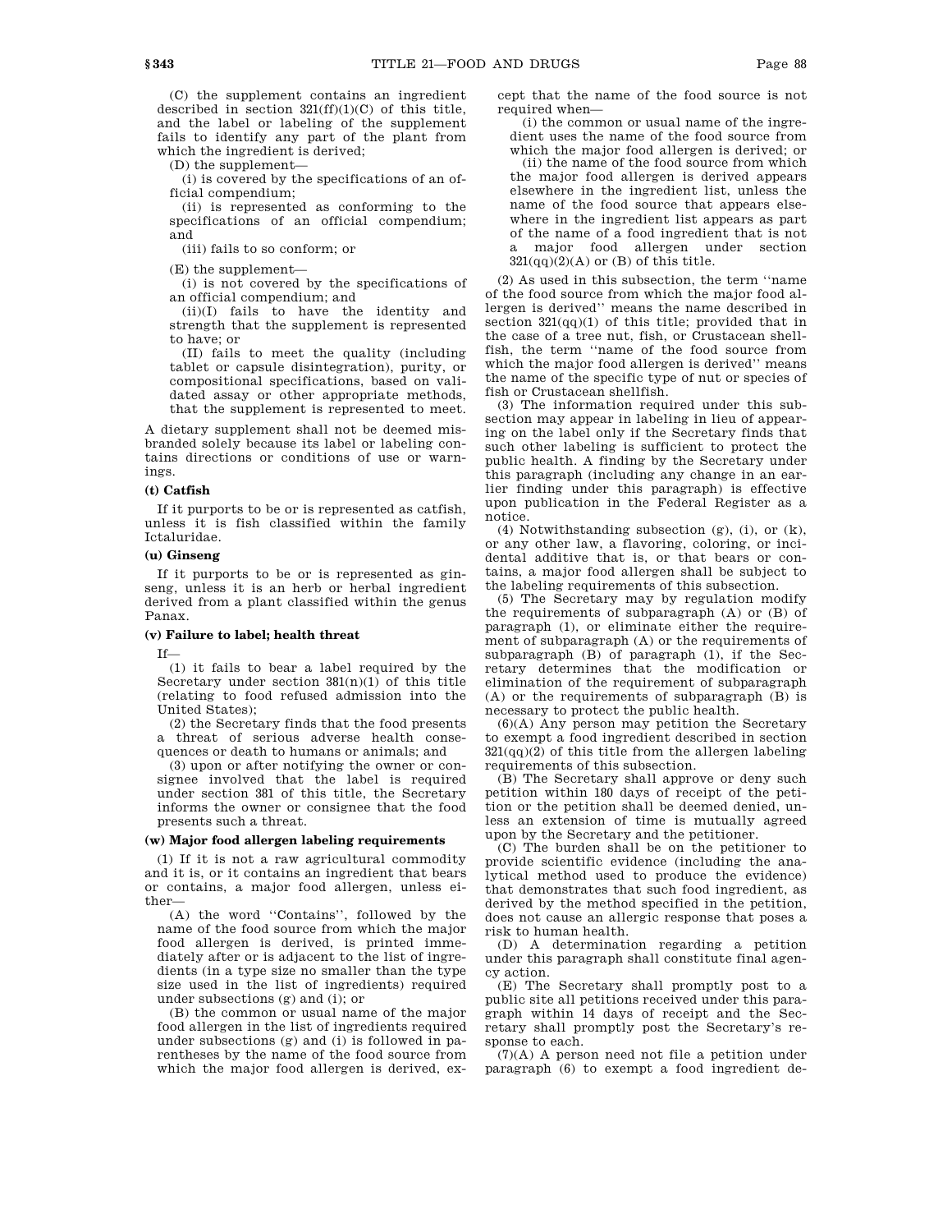(C) the supplement contains an ingredient described in section  $321(ff)(1)(C)$  of this title, and the label or labeling of the supplement fails to identify any part of the plant from which the ingredient is derived;

(D) the supplement—

(i) is covered by the specifications of an official compendium;

(ii) is represented as conforming to the specifications of an official compendium; and

(iii) fails to so conform; or

(E) the supplement—

(i) is not covered by the specifications of an official compendium; and

(ii)(I) fails to have the identity and strength that the supplement is represented to have; or

(II) fails to meet the quality (including tablet or capsule disintegration), purity, or compositional specifications, based on validated assay or other appropriate methods, that the supplement is represented to meet.

A dietary supplement shall not be deemed misbranded solely because its label or labeling contains directions or conditions of use or warnings.

#### **(t) Catfish**

If it purports to be or is represented as catfish, unless it is fish classified within the family Ictaluridae.

### **(u) Ginseng**

If it purports to be or is represented as ginseng, unless it is an herb or herbal ingredient derived from a plant classified within the genus Panax.

### **(v) Failure to label; health threat**

If—

(1) it fails to bear a label required by the Secretary under section  $381(n)(1)$  of this title (relating to food refused admission into the United States);

(2) the Secretary finds that the food presents a threat of serious adverse health consequences or death to humans or animals; and

(3) upon or after notifying the owner or consignee involved that the label is required under section 381 of this title, the Secretary informs the owner or consignee that the food presents such a threat.

### **(w) Major food allergen labeling requirements**

(1) If it is not a raw agricultural commodity and it is, or it contains an ingredient that bears or contains, a major food allergen, unless either—

(A) the word ''Contains'', followed by the name of the food source from which the major food allergen is derived, is printed immediately after or is adjacent to the list of ingredients (in a type size no smaller than the type size used in the list of ingredients) required under subsections (g) and (i); or

(B) the common or usual name of the major food allergen in the list of ingredients required under subsections (g) and (i) is followed in parentheses by the name of the food source from which the major food allergen is derived, except that the name of the food source is not required when—

(i) the common or usual name of the ingredient uses the name of the food source from which the major food allergen is derived; or

(ii) the name of the food source from which the major food allergen is derived appears elsewhere in the ingredient list, unless the name of the food source that appears elsewhere in the ingredient list appears as part of the name of a food ingredient that is not a major food allergen under section  $321(qq)(2)(A)$  or (B) of this title.

(2) As used in this subsection, the term ''name of the food source from which the major food allergen is derived'' means the name described in section 321(qq)(1) of this title; provided that in the case of a tree nut, fish, or Crustacean shellfish, the term ''name of the food source from which the major food allergen is derived'' means the name of the specific type of nut or species of fish or Crustacean shellfish.

(3) The information required under this subsection may appear in labeling in lieu of appearing on the label only if the Secretary finds that such other labeling is sufficient to protect the public health. A finding by the Secretary under this paragraph (including any change in an earlier finding under this paragraph) is effective upon publication in the Federal Register as a notice.

(4) Notwithstanding subsection (g), (i), or (k), or any other law, a flavoring, coloring, or incidental additive that is, or that bears or contains, a major food allergen shall be subject to the labeling requirements of this subsection.

(5) The Secretary may by regulation modify the requirements of subparagraph (A) or (B) of paragraph (1), or eliminate either the requirement of subparagraph (A) or the requirements of subparagraph (B) of paragraph (1), if the Secretary determines that the modification or elimination of the requirement of subparagraph (A) or the requirements of subparagraph (B) is necessary to protect the public health.

(6)(A) Any person may petition the Secretary to exempt a food ingredient described in section  $321(qq)(2)$  of this title from the allergen labeling requirements of this subsection.

(B) The Secretary shall approve or deny such petition within 180 days of receipt of the petition or the petition shall be deemed denied, unless an extension of time is mutually agreed upon by the Secretary and the petitioner.

(C) The burden shall be on the petitioner to provide scientific evidence (including the analytical method used to produce the evidence) that demonstrates that such food ingredient, as derived by the method specified in the petition, does not cause an allergic response that poses a risk to human health.

(D) A determination regarding a petition under this paragraph shall constitute final agency action.

(E) The Secretary shall promptly post to a public site all petitions received under this paragraph within 14 days of receipt and the Secretary shall promptly post the Secretary's response to each.

(7)(A) A person need not file a petition under paragraph (6) to exempt a food ingredient de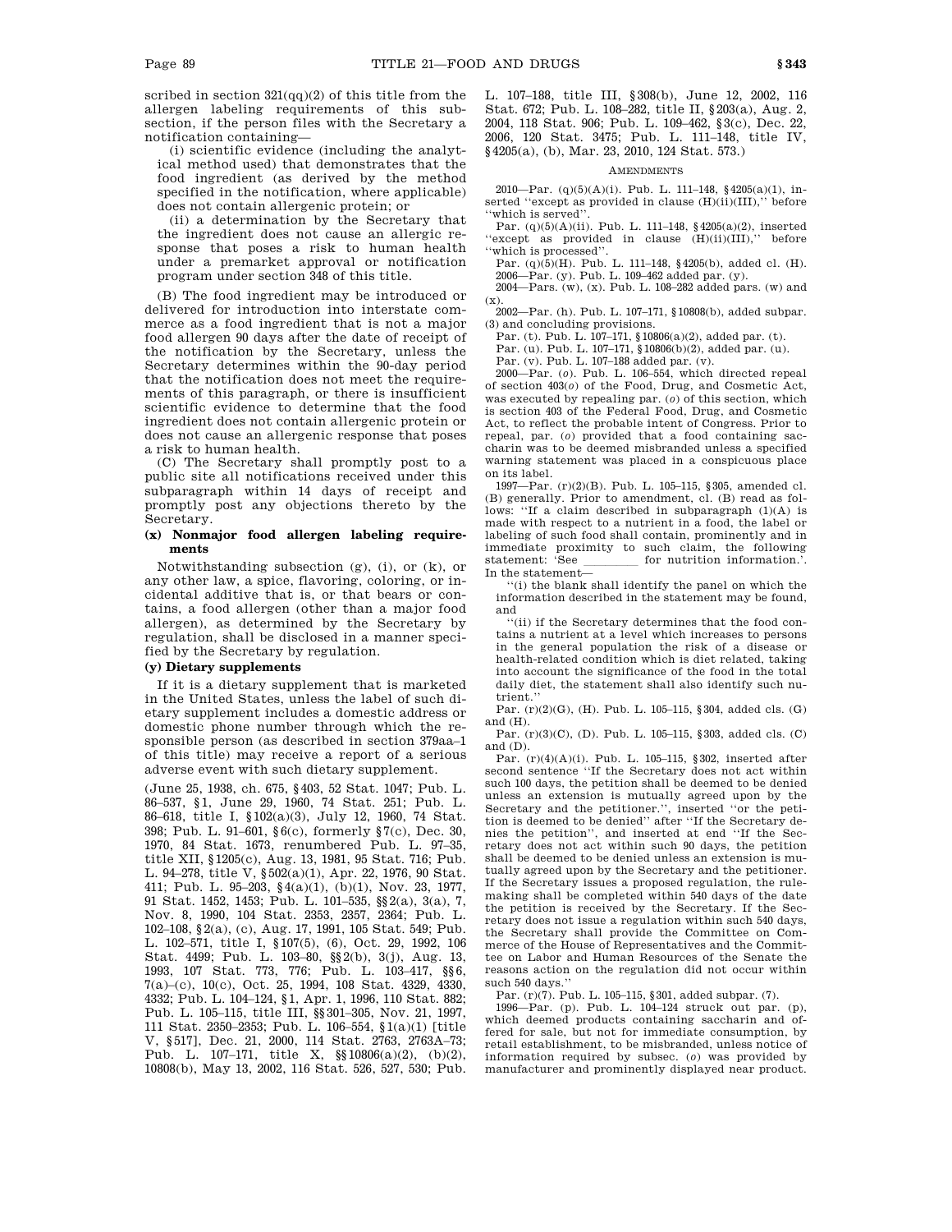scribed in section  $321(qq)(2)$  of this title from the allergen labeling requirements of this subsection, if the person files with the Secretary a notification containing—

(i) scientific evidence (including the analytical method used) that demonstrates that the food ingredient (as derived by the method specified in the notification, where applicable) does not contain allergenic protein; or

(ii) a determination by the Secretary that the ingredient does not cause an allergic response that poses a risk to human health under a premarket approval or notification program under section 348 of this title.

(B) The food ingredient may be introduced or delivered for introduction into interstate commerce as a food ingredient that is not a major food allergen 90 days after the date of receipt of the notification by the Secretary, unless the Secretary determines within the 90-day period that the notification does not meet the requirements of this paragraph, or there is insufficient scientific evidence to determine that the food ingredient does not contain allergenic protein or does not cause an allergenic response that poses a risk to human health.

(C) The Secretary shall promptly post to a public site all notifications received under this subparagraph within 14 days of receipt and promptly post any objections thereto by the Secretary.

### **(x) Nonmajor food allergen labeling requirements**

Notwithstanding subsection (g), (i), or (k), or any other law, a spice, flavoring, coloring, or incidental additive that is, or that bears or contains, a food allergen (other than a major food allergen), as determined by the Secretary by regulation, shall be disclosed in a manner specified by the Secretary by regulation.

## **(y) Dietary supplements**

If it is a dietary supplement that is marketed in the United States, unless the label of such dietary supplement includes a domestic address or domestic phone number through which the responsible person (as described in section 379aa–1 of this title) may receive a report of a serious adverse event with such dietary supplement.

(June 25, 1938, ch. 675, §403, 52 Stat. 1047; Pub. L. 86–537, §1, June 29, 1960, 74 Stat. 251; Pub. L. 86–618, title I, §102(a)(3), July 12, 1960, 74 Stat. 398; Pub. L. 91–601, §6(c), formerly §7(c), Dec. 30, 1970, 84 Stat. 1673, renumbered Pub. L. 97–35, title XII, §1205(c), Aug. 13, 1981, 95 Stat. 716; Pub. L. 94–278, title V, §502(a)(1), Apr. 22, 1976, 90 Stat. 411; Pub. L. 95–203, §4(a)(1), (b)(1), Nov. 23, 1977, 91 Stat. 1452, 1453; Pub. L. 101–535, §§2(a), 3(a), 7, Nov. 8, 1990, 104 Stat. 2353, 2357, 2364; Pub. L. 102–108, §2(a), (c), Aug. 17, 1991, 105 Stat. 549; Pub. L. 102–571, title I, §107(5), (6), Oct. 29, 1992, 106 Stat. 4499; Pub. L. 103–80, §§2(b), 3(j), Aug. 13, 1993, 107 Stat. 773, 776; Pub. L. 103–417, §§6, 7(a)–(c), 10(c), Oct. 25, 1994, 108 Stat. 4329, 4330, 4332; Pub. L. 104–124, §1, Apr. 1, 1996, 110 Stat. 882; Pub. L. 105–115, title III, §§301–305, Nov. 21, 1997, 111 Stat. 2350–2353; Pub. L. 106–554, §1(a)(1) [title V, §517], Dec. 21, 2000, 114 Stat. 2763, 2763A–73; Pub. L. 107–171, title X, §§10806(a)(2), (b)(2), 10808(b), May 13, 2002, 116 Stat. 526, 527, 530; Pub. L. 107–188, title III, §308(b), June 12, 2002, 116 Stat. 672; Pub. L. 108–282, title II, §203(a), Aug. 2, 2004, 118 Stat. 906; Pub. L. 109–462, §3(c), Dec. 22, 2006, 120 Stat. 3475; Pub. L. 111–148, title IV, §4205(a), (b), Mar. 23, 2010, 124 Stat. 573.)

### **AMENDMENTS**

2010—Par. (q)(5)(A)(i). Pub. L. 111–148, §4205(a)(1), inserted "except as provided in clause (H)(ii)(III)," before 'which is served''

Par. (q)(5)(A)(ii). Pub. L. 111–148, §4205(a)(2), inserted "except as provided in clause  $(H)(ii)(III)$ ," before ''which is processed''.

Par. (q)(5)(H). Pub. L. 111–148, §4205(b), added cl. (H). 2006—Par. (y). Pub. L. 109–462 added par. (y).

2004—Pars. (w), (x). Pub. L. 108–282 added pars. (w) and  $(X)$ 

2002—Par. (h). Pub. L. 107–171, §10808(b), added subpar. (3) and concluding provisions.

Par. (t). Pub. L.  $107-171$ , §10806(a)(2), added par. (t).

Par. (u). Pub. L. 107–171, §10806(b)(2), added par. (u).

Par. (v). Pub. L. 107–188 added par. (v).

2000—Par. (*o*). Pub. L. 106–554, which directed repeal of section 403(*o*) of the Food, Drug, and Cosmetic Act, was executed by repealing par. (*o*) of this section, which is section 403 of the Federal Food, Drug, and Cosmetic Act, to reflect the probable intent of Congress. Prior to repeal, par. (*o*) provided that a food containing saccharin was to be deemed misbranded unless a specified warning statement was placed in a conspicuous place on its label.

1997—Par. (r)(2)(B). Pub. L. 105–115, §305, amended cl. (B) generally. Prior to amendment, cl. (B) read as follows: "If a claim described in subparagraph (1)(A) is made with respect to a nutrient in a food, the label or labeling of such food shall contain, prominently and in immediate proximity to such claim, the following statement: 'See \_\_\_\_\_\_\_\_\_ for nutrition information.'. In the statement—

''(i) the blank shall identify the panel on which the information described in the statement may be found, and

''(ii) if the Secretary determines that the food contains a nutrient at a level which increases to persons in the general population the risk of a disease or health-related condition which is diet related, taking into account the significance of the food in the total daily diet, the statement shall also identify such nutrient.''

Par. (r)(2)(G), (H). Pub. L. 105–115, §304, added cls. (G) and (H).

Par. (r)(3)(C), (D). Pub. L. 105–115, §303, added cls. (C) and (D).

Par.  $(r)(4)(A)(i)$ . Pub. L. 105–115, §302, inserted after second sentence "If the Secretary does not act within such 100 days, the petition shall be deemed to be denied unless an extension is mutually agreed upon by the Secretary and the petitioner.'', inserted ''or the petition is deemed to be denied'' after ''If the Secretary denies the petition'', and inserted at end ''If the Secretary does not act within such 90 days, the petition shall be deemed to be denied unless an extension is mutually agreed upon by the Secretary and the petitioner. If the Secretary issues a proposed regulation, the rulemaking shall be completed within 540 days of the date the petition is received by the Secretary. If the Secretary does not issue a regulation within such 540 days, the Secretary shall provide the Committee on Commerce of the House of Representatives and the Committee on Labor and Human Resources of the Senate the reasons action on the regulation did not occur within such 540 days.

Par. (r)(7). Pub. L. 105–115, §301, added subpar. (7).

1996—Par. (p). Pub. L. 104–124 struck out par. (p), which deemed products containing saccharin and offered for sale, but not for immediate consumption, by retail establishment, to be misbranded, unless notice of information required by subsec. (*o*) was provided by manufacturer and prominently displayed near product.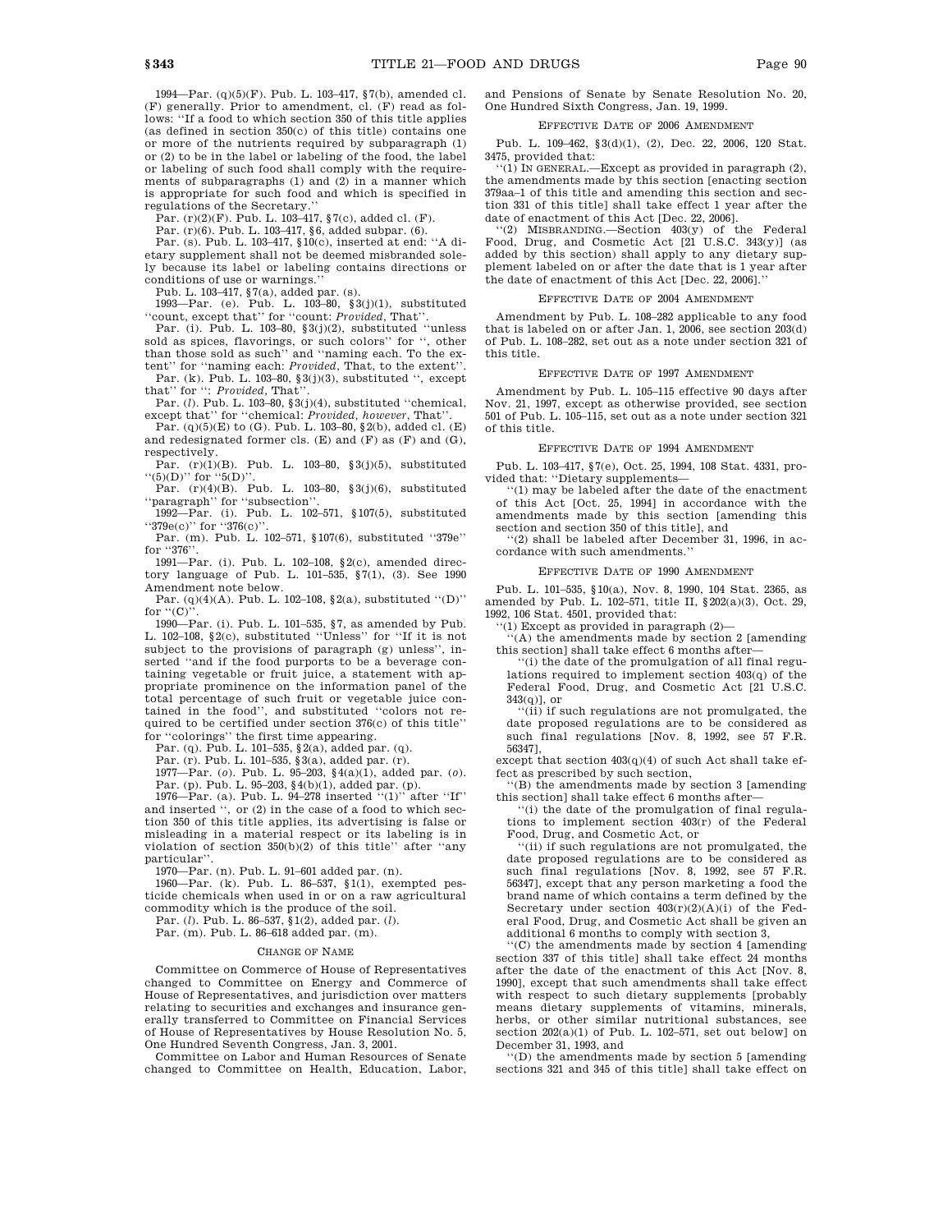1994—Par. (q)(5)(F). Pub. L. 103–417, §7(b), amended cl. (F) generally. Prior to amendment, cl. (F) read as follows: ''If a food to which section 350 of this title applies (as defined in section 350(c) of this title) contains one or more of the nutrients required by subparagraph (1) or (2) to be in the label or labeling of the food, the label or labeling of such food shall comply with the requirements of subparagraphs (1) and (2) in a manner which is appropriate for such food and which is specified in regulations of the Secretary.

Par. (r)(2)(F). Pub. L. 103–417, §7(c), added cl. (F).

Par. (r)(6). Pub. L. 103–417, §6, added subpar. (6).

Par. (s). Pub. L. 103–417, §10(c), inserted at end: ''A dietary supplement shall not be deemed misbranded solely because its label or labeling contains directions or conditions of use or warnings.''

Pub. L. 103–417, §7(a), added par. (s). 1993—Par. (e). Pub. L. 103–80, §3(j)(1), substituted ''count, except that'' for ''count: *Provided*, That''.

Par. (i). Pub. L. 103–80, §3(j)(2), substituted ''unless sold as spices, flavorings, or such colors'' for '', other than those sold as such'' and ''naming each. To the extent'' for ''naming each: *Provided*, That, to the extent''.

Par. (k). Pub. L. 103–80, §3(j)(3), substituted '', except that'' for '': *Provided*, That''.

Par. (*l*). Pub. L. 103–80, §3(j)(4), substituted ''chemical, except that'' for ''chemical: *Provided, however*, That''.

Par.  $(q)(5)(E)$  to  $(G)$ . Pub. L. 103-80, §2(b), added cl. (E) and redesignated former cls.  $(E)$  and  $(F)$  as  $(F)$  and  $(G)$ , respectively.

Par. (r)(1)(B). Pub. L. 103-80, §3(j)(5), substituted  $``(5)(D)"$  for  $``5(D)"$ 

Par.  $(r)(4)(B)$ . Pub. L. 103-80, §3(j)(6), substituted ''paragraph'' for ''subsection''.

1992—Par. (i). Pub. L. 102–571, §107(5), substituted ''379e(c)'' for ''376(c)''.

Par. (m). Pub. L. 102–571, §107(6), substituted ''379e'' for "376"

1991—Par. (i). Pub. L. 102–108, §2(c), amended directory language of Pub. L. 101–535, §7(1), (3). See 1990 Amendment note below.

Par. (q)(4)(A). Pub. L. 102–108, §2(a), substituted ''(D)'' for  $``(C)$ <sup>"</sup>.

1990—Par. (i). Pub. L. 101–535, §7, as amended by Pub. L. 102–108, §2(c), substituted ''Unless'' for ''If it is not subject to the provisions of paragraph (g) unless'', inserted ''and if the food purports to be a beverage containing vegetable or fruit juice, a statement with appropriate prominence on the information panel of the total percentage of such fruit or vegetable juice contained in the food'', and substituted ''colors not required to be certified under section 376(c) of this title'' for ''colorings'' the first time appearing.

Par. (q). Pub. L. 101–535, §2(a), added par. (q). Par. (r). Pub. L. 101–535, §3(a), added par. (r).

1977—Par. (*o*). Pub. L. 95–203, §4(a)(1), added par. (*o*). Par. (p). Pub. L. 95–203, §4(b)(1), added par. (p). 1976—Par. (a). Pub. L. 94–278 inserted ''(1)'' after ''If''

and inserted '', or (2) in the case of a food to which section 350 of this title applies, its advertising is false or misleading in a material respect or its labeling is in violation of section  $350(b)(2)$  of this title" after "any particular''.

1970—Par. (n). Pub. L. 91–601 added par. (n).

1960—Par. (k). Pub. L. 86–537, §1(1), exempted pesticide chemicals when used in or on a raw agricultural

commodity which is the produce of the soil. Par. (*l*). Pub. L. 86–537, §1(2), added par. (*l*).

Par. (m). Pub. L. 86–618 added par. (m).

### CHANGE OF NAME

Committee on Commerce of House of Representatives changed to Committee on Energy and Commerce of House of Representatives, and jurisdiction over matters relating to securities and exchanges and insurance generally transferred to Committee on Financial Services of House of Representatives by House Resolution No. 5, One Hundred Seventh Congress, Jan. 3, 2001.

Committee on Labor and Human Resources of Senate changed to Committee on Health, Education, Labor, and Pensions of Senate by Senate Resolution No. 20, One Hundred Sixth Congress, Jan. 19, 1999.

# EFFECTIVE DATE OF 2006 AMENDMENT

Pub. L. 109–462, §3(d)(1), (2), Dec. 22, 2006, 120 Stat. 3475, provided that:

''(1) IN GENERAL.—Except as provided in paragraph (2), the amendments made by this section [enacting section 379aa–1 of this title and amending this section and section 331 of this title] shall take effect 1 year after the date of enactment of this Act [Dec. 22, 2006].

''(2) MISBRANDING.—Section 403(y) of the Federal Food, Drug, and Cosmetic Act  $[21 \text{ U.S.C. } 343(y)]$  (as added by this section) shall apply to any dietary supplement labeled on or after the date that is 1 year after the date of enactment of this Act [Dec. 22, 2006].''

### EFFECTIVE DATE OF 2004 AMENDMENT

Amendment by Pub. L. 108–282 applicable to any food that is labeled on or after Jan. 1, 2006, see section 203(d) of Pub. L. 108–282, set out as a note under section 321 of this title.

#### EFFECTIVE DATE OF 1997 AMENDMENT

Amendment by Pub. L. 105–115 effective 90 days after Nov. 21, 1997, except as otherwise provided, see section 501 of Pub. L. 105–115, set out as a note under section 321 of this title.

#### EFFECTIVE DATE OF 1994 AMENDMENT

Pub. L. 103–417, §7(e), Oct. 25, 1994, 108 Stat. 4331, provided that: ''Dietary supplements—

''(1) may be labeled after the date of the enactment of this Act [Oct. 25, 1994] in accordance with the amendments made by this section [amending this section and section 350 of this title], and

''(2) shall be labeled after December 31, 1996, in accordance with such amendments.''

### EFFECTIVE DATE OF 1990 AMENDMENT

Pub. L. 101–535, §10(a), Nov. 8, 1990, 104 Stat. 2365, as amended by Pub. L. 102–571, title II, §202(a)(3), Oct. 29, 1992, 106 Stat. 4501, provided that:

''(1) Except as provided in paragraph (2)—

''(A) the amendments made by section 2 [amending this section] shall take effect 6 months after—

''(i) the date of the promulgation of all final regulations required to implement section 403(q) of the Federal Food, Drug, and Cosmetic Act [21 U.S.C.  $343(n)$ ], or

''(ii) if such regulations are not promulgated, the date proposed regulations are to be considered as such final regulations [Nov. 8, 1992, see 57 F.R. 56347],

except that section  $403(q)(4)$  of such Act shall take effect as prescribed by such section,

''(B) the amendments made by section 3 [amending this section] shall take effect 6 months after—

''(i) the date of the promulgation of final regulations to implement section 403(r) of the Federal Food, Drug, and Cosmetic Act, or

'(ii) if such regulations are not promulgated, the date proposed regulations are to be considered as such final regulations [Nov. 8, 1992, see 57 F.R. 56347], except that any person marketing a food the brand name of which contains a term defined by the Secretary under section  $403(r)(2)(A)(i)$  of the Federal Food, Drug, and Cosmetic Act shall be given an additional 6 months to comply with section 3,

''(C) the amendments made by section 4 [amending section 337 of this title] shall take effect 24 months after the date of the enactment of this Act [Nov. 8, 1990], except that such amendments shall take effect with respect to such dietary supplements [probably means dietary supplements of vitamins, minerals, herbs, or other similar nutritional substances, see section  $202(a)(1)$  of Pub. L. 102-571, set out below] on December 31, 1993, and

''(D) the amendments made by section 5 [amending sections 321 and 345 of this title] shall take effect on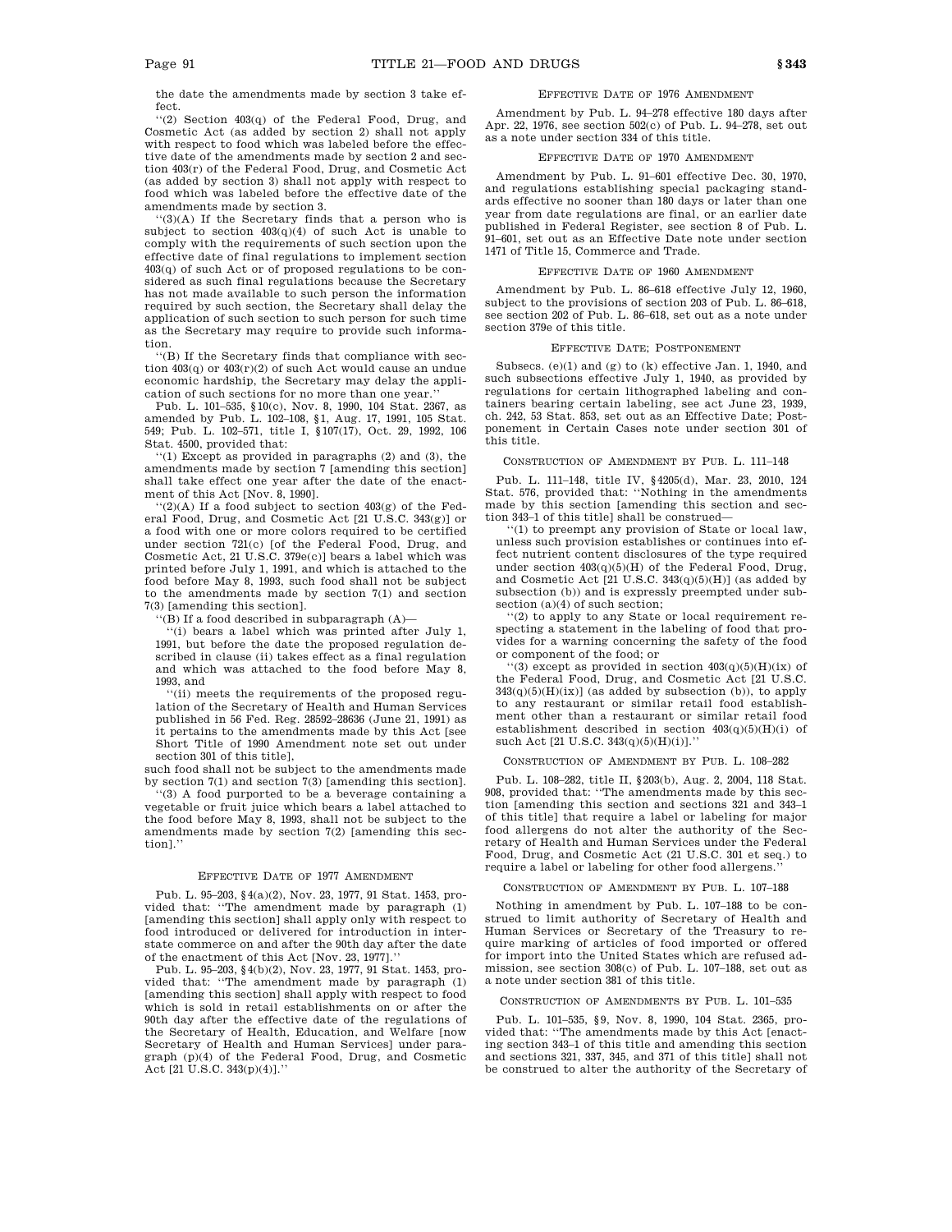the date the amendments made by section 3 take effect.

''(2) Section 403(q) of the Federal Food, Drug, and Cosmetic Act (as added by section 2) shall not apply with respect to food which was labeled before the effective date of the amendments made by section 2 and section 403(r) of the Federal Food, Drug, and Cosmetic Act (as added by section 3) shall not apply with respect to food which was labeled before the effective date of the amendments made by section 3.

 $(3)(A)$  If the Secretary finds that a person who is subject to section 403(q)(4) of such Act is unable to comply with the requirements of such section upon the effective date of final regulations to implement section 403(q) of such Act or of proposed regulations to be considered as such final regulations because the Secretary has not made available to such person the information required by such section, the Secretary shall delay the application of such section to such person for such time as the Secretary may require to provide such information.

''(B) If the Secretary finds that compliance with section 403(q) or 403(r)(2) of such Act would cause an undue economic hardship, the Secretary may delay the application of such sections for no more than one year.

Pub. L. 101–535, §10(c), Nov. 8, 1990, 104 Stat. 2367, as amended by Pub. L. 102–108, §1, Aug. 17, 1991, 105 Stat. 549; Pub. L. 102–571, title I, §107(17), Oct. 29, 1992, 106 Stat. 4500, provided that:

''(1) Except as provided in paragraphs (2) and (3), the amendments made by section 7 [amending this section] shall take effect one year after the date of the enactment of this Act [Nov. 8, 1990].

 $``(2)(A)$  If a food subject to section  $403(g)$  of the Federal Food, Drug, and Cosmetic Act [21 U.S.C. 343(g)] or a food with one or more colors required to be certified under section 721(c) [of the Federal Food, Drug, and Cosmetic Act, 21 U.S.C. 379e(c)] bears a label which was printed before July 1, 1991, and which is attached to the food before May 8, 1993, such food shall not be subject to the amendments made by section 7(1) and section 7(3) [amending this section].

''(B) If a food described in subparagraph (A)—

''(i) bears a label which was printed after July 1, 1991, but before the date the proposed regulation described in clause (ii) takes effect as a final regulation and which was attached to the food before May 8, 1993, and

''(ii) meets the requirements of the proposed regulation of the Secretary of Health and Human Services published in 56 Fed. Reg. 28592–28636 (June 21, 1991) as it pertains to the amendments made by this Act [see Short Title of 1990 Amendment note set out under section 301 of this title],

such food shall not be subject to the amendments made by section 7(1) and section 7(3) [amending this section].

''(3) A food purported to be a beverage containing a vegetable or fruit juice which bears a label attached to the food before May 8, 1993, shall not be subject to the amendments made by section 7(2) [amending this section].''

#### EFFECTIVE DATE OF 1977 AMENDMENT

Pub. L. 95–203, §4(a)(2), Nov. 23, 1977, 91 Stat. 1453, provided that: ''The amendment made by paragraph (1) [amending this section] shall apply only with respect to food introduced or delivered for introduction in interstate commerce on and after the 90th day after the date of the enactment of this Act [Nov. 23, 1977].''

Pub. L. 95–203, §4(b)(2), Nov. 23, 1977, 91 Stat. 1453, provided that: ''The amendment made by paragraph (1) [amending this section] shall apply with respect to food which is sold in retail establishments on or after the 90th day after the effective date of the regulations of the Secretary of Health, Education, and Welfare [now Secretary of Health and Human Services] under paragraph (p)(4) of the Federal Food, Drug, and Cosmetic Act [21 U.S.C. 343(p)(4)].''

### EFFECTIVE DATE OF 1976 AMENDMENT

Amendment by Pub. L. 94–278 effective 180 days after Apr. 22, 1976, see section 502(c) of Pub. L. 94–278, set out as a note under section 334 of this title.

#### EFFECTIVE DATE OF 1970 AMENDMENT

Amendment by Pub. L. 91–601 effective Dec. 30, 1970, and regulations establishing special packaging standards effective no sooner than 180 days or later than one year from date regulations are final, or an earlier date published in Federal Register, see section 8 of Pub. L. 91–601, set out as an Effective Date note under section 1471 of Title 15, Commerce and Trade.

### EFFECTIVE DATE OF 1960 AMENDMENT

Amendment by Pub. L. 86–618 effective July 12, 1960, subject to the provisions of section 203 of Pub. L. 86–618, see section 202 of Pub. L. 86–618, set out as a note under section 379e of this title.

#### EFFECTIVE DATE; POSTPONEMENT

Subsecs. (e)(1) and (g) to (k) effective Jan. 1, 1940, and such subsections effective July 1, 1940, as provided by regulations for certain lithographed labeling and containers bearing certain labeling, see act June 23, 1939, ch. 242, 53 Stat. 853, set out as an Effective Date; Postponement in Certain Cases note under section 301 of this title.

#### CONSTRUCTION OF AMENDMENT BY PUB. L. 111–148

Pub. L. 111–148, title IV, §4205(d), Mar. 23, 2010, 124 Stat. 576, provided that: ''Nothing in the amendments made by this section [amending this section and section 343–1 of this title] shall be construed—

''(1) to preempt any provision of State or local law, unless such provision establishes or continues into effect nutrient content disclosures of the type required under section  $403(q)(5)(H)$  of the Federal Food, Drug, and Cosmetic Act  $[21 \text{ U.S.C. } 343(q)(5)(H)]$  (as added by subsection (b)) and is expressly preempted under subsection (a)(4) of such section;

''(2) to apply to any State or local requirement respecting a statement in the labeling of food that provides for a warning concerning the safety of the food or component of the food; or

 $''(3)$  except as provided in section  $403(q)(5)(H)(ix)$  of the Federal Food, Drug, and Cosmetic Act [21 U.S.C.  $343(q)(5)(H)(ix)$  (as added by subsection (b)), to apply to any restaurant or similar retail food establishment other than a restaurant or similar retail food establishment described in section  $403(q)(5)(H)(i)$  of such Act [21 U.S.C. 343(q)(5)(H)(i)].''

#### CONSTRUCTION OF AMENDMENT BY PUB. L. 108–282

Pub. L. 108–282, title II, §203(b), Aug. 2, 2004, 118 Stat. 908, provided that: ''The amendments made by this section [amending this section and sections 321 and 343–1 of this title] that require a label or labeling for major food allergens do not alter the authority of the Secretary of Health and Human Services under the Federal Food, Drug, and Cosmetic Act (21 U.S.C. 301 et seq.) to require a label or labeling for other food allergens.

### CONSTRUCTION OF AMENDMENT BY PUB. L. 107–188

Nothing in amendment by Pub. L. 107–188 to be construed to limit authority of Secretary of Health and Human Services or Secretary of the Treasury to require marking of articles of food imported or offered for import into the United States which are refused admission, see section 308(c) of Pub. L. 107–188, set out as a note under section 381 of this title.

### CONSTRUCTION OF AMENDMENTS BY PUB. L. 101–535

Pub. L. 101–535, §9, Nov. 8, 1990, 104 Stat. 2365, provided that: ''The amendments made by this Act [enacting section 343–1 of this title and amending this section and sections 321, 337, 345, and 371 of this title] shall not be construed to alter the authority of the Secretary of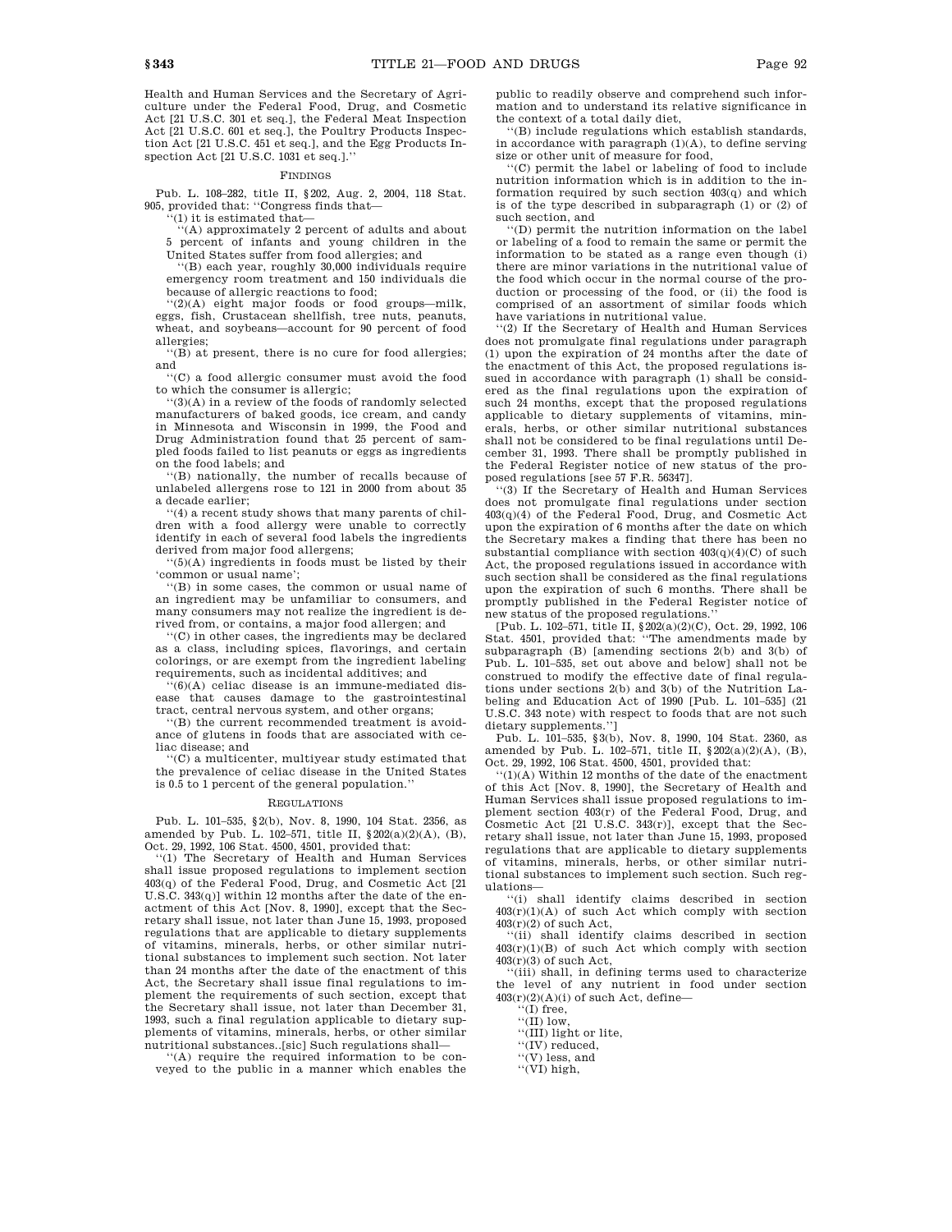Health and Human Services and the Secretary of Agriculture under the Federal Food, Drug, and Cosmetic Act [21 U.S.C. 301 et seq.], the Federal Meat Inspection Act [21 U.S.C. 601 et seq.], the Poultry Products Inspection Act [21 U.S.C. 451 et seq.], and the Egg Products Inspection Act [21 U.S.C. 1031 et seq.].''

#### FINDINGS

Pub. L. 108–282, title II, §202, Aug. 2, 2004, 118 Stat. 905, provided that: ''Congress finds that—

 $(1)$  it is estimated that-

''(A) approximately 2 percent of adults and about 5 percent of infants and young children in the United States suffer from food allergies; and

'(B) each year, roughly 30,000 individuals require emergency room treatment and 150 individuals die because of allergic reactions to food;

''(2)(A) eight major foods or food groups—milk, eggs, fish, Crustacean shellfish, tree nuts, peanuts, wheat, and soybeans—account for 90 percent of food allergies;

''(B) at present, there is no cure for food allergies; and

''(C) a food allergic consumer must avoid the food to which the consumer is allergic;

 $'(3)(A)$  in a review of the foods of randomly selected manufacturers of baked goods, ice cream, and candy in Minnesota and Wisconsin in 1999, the Food and Drug Administration found that 25 percent of sampled foods failed to list peanuts or eggs as ingredients on the food labels; and

''(B) nationally, the number of recalls because of unlabeled allergens rose to 121 in 2000 from about 35 a decade earlier;

''(4) a recent study shows that many parents of children with a food allergy were unable to correctly identify in each of several food labels the ingredients derived from major food allergens;

''(5)(A) ingredients in foods must be listed by their 'common or usual name';

''(B) in some cases, the common or usual name of an ingredient may be unfamiliar to consumers, and many consumers may not realize the ingredient is derived from, or contains, a major food allergen; and

''(C) in other cases, the ingredients may be declared as a class, including spices, flavorings, and certain colorings, or are exempt from the ingredient labeling requirements, such as incidental additives; and

 $f(6)(A)$  celiac disease is an immune-mediated disease that causes damage to the gastrointestinal tract, central nervous system, and other organs;

''(B) the current recommended treatment is avoidance of glutens in foods that are associated with celiac disease; and

''(C) a multicenter, multiyear study estimated that the prevalence of celiac disease in the United States is 0.5 to 1 percent of the general population.''

# REGULATIONS

Pub. L. 101–535, §2(b), Nov. 8, 1990, 104 Stat. 2356, as amended by Pub. L. 102–571, title II, §202(a)(2)(A), (B), Oct. 29, 1992, 106 Stat. 4500, 4501, provided that:

''(1) The Secretary of Health and Human Services shall issue proposed regulations to implement section 403(q) of the Federal Food, Drug, and Cosmetic Act [21 U.S.C. 343(q)] within 12 months after the date of the enactment of this Act [Nov. 8, 1990], except that the Secretary shall issue, not later than June 15, 1993, proposed regulations that are applicable to dietary supplements of vitamins, minerals, herbs, or other similar nutritional substances to implement such section. Not later than 24 months after the date of the enactment of this Act, the Secretary shall issue final regulations to implement the requirements of such section, except that the Secretary shall issue, not later than December 31, 1993, such a final regulation applicable to dietary supplements of vitamins, minerals, herbs, or other similar nutritional substances..[sic] Such regulations shall—

''(A) require the required information to be conveyed to the public in a manner which enables the public to readily observe and comprehend such information and to understand its relative significance in the context of a total daily diet,

''(B) include regulations which establish standards, in accordance with paragraph  $(1)(A)$ , to define serving size or other unit of measure for food,

''(C) permit the label or labeling of food to include nutrition information which is in addition to the information required by such section 403(q) and which is of the type described in subparagraph (1) or (2) of such section, and

''(D) permit the nutrition information on the label or labeling of a food to remain the same or permit the information to be stated as a range even though (i) there are minor variations in the nutritional value of the food which occur in the normal course of the production or processing of the food, or (ii) the food is comprised of an assortment of similar foods which have variations in nutritional value.

'(2) If the Secretary of Health and Human Services does not promulgate final regulations under paragraph (1) upon the expiration of 24 months after the date of the enactment of this Act, the proposed regulations issued in accordance with paragraph (1) shall be considered as the final regulations upon the expiration of such 24 months, except that the proposed regulations applicable to dietary supplements of vitamins, minerals, herbs, or other similar nutritional substances shall not be considered to be final regulations until December 31, 1993. There shall be promptly published in the Federal Register notice of new status of the proposed regulations [see 57 F.R. 56347].

''(3) If the Secretary of Health and Human Services does not promulgate final regulations under section 403(q)(4) of the Federal Food, Drug, and Cosmetic Act upon the expiration of 6 months after the date on which the Secretary makes a finding that there has been no substantial compliance with section  $403(q)(4)(C)$  of such Act, the proposed regulations issued in accordance with such section shall be considered as the final regulations upon the expiration of such 6 months. There shall be promptly published in the Federal Register notice of new status of the proposed regulations.''

[Pub. L. 102–571, title II,  $\S 202(a)(2)(C)$ , Oct. 29, 1992, 106<br>Stat. 4501, provided that: "The amendments made by subparagraph (B) [amending sections 2(b) and 3(b) of Pub. L. 101–535, set out above and below] shall not be construed to modify the effective date of final regulations under sections 2(b) and 3(b) of the Nutrition Labeling and Education Act of 1990 [Pub. L. 101–535] (21 U.S.C. 343 note) with respect to foods that are not such dietary supplements.'']

Pub. L. 101–535, §3(b), Nov. 8, 1990, 104 Stat. 2360, as amended by Pub. L. 102–571, title II, §202(a)(2)(A), (B), Oct. 29, 1992, 106 Stat. 4500, 4501, provided that:

''(1)(A) Within 12 months of the date of the enactment of this Act [Nov. 8, 1990], the Secretary of Health and Human Services shall issue proposed regulations to implement section 403(r) of the Federal Food, Drug, and Cosmetic Act [21 U.S.C. 343(r)], except that the Secretary shall issue, not later than June 15, 1993, proposed regulations that are applicable to dietary supplements of vitamins, minerals, herbs, or other similar nutritional substances to implement such section. Such regulations—

''(i) shall identify claims described in section  $403(r)(1)(A)$  of such Act which comply with section  $403(r)(2)$  of such Act,

''(ii) shall identify claims described in section  $403(r)(1)(B)$  of such Act which comply with section  $403(r)(3)$  of such Act,

''(iii) shall, in defining terms used to characterize the level of any nutrient in food under section  $403(r)(2)(A)(i)$  of such Act, define-

''(I) free,

''(II) low,

''(III) light or lite,

''(IV) reduced,

''(V) less, and

''(VI) high,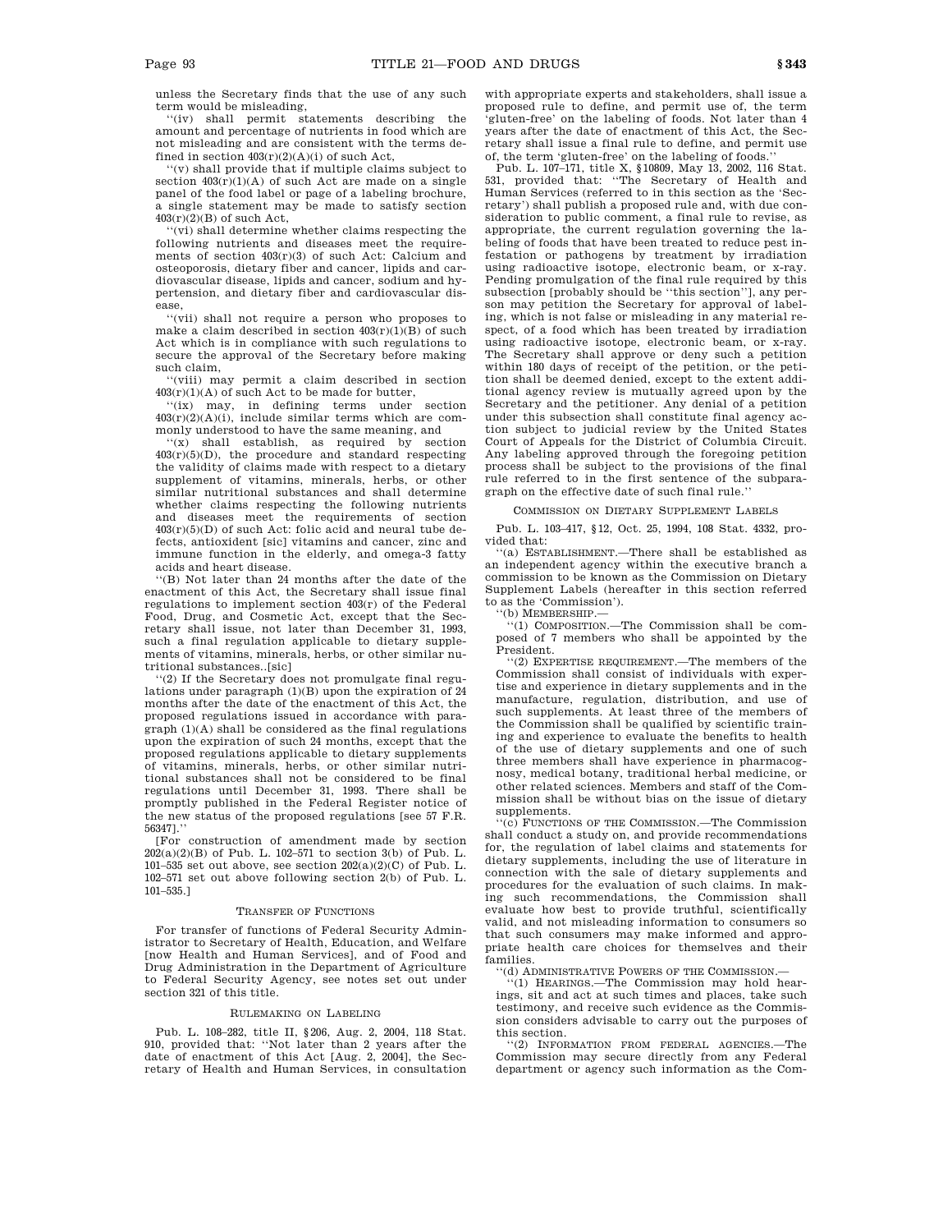unless the Secretary finds that the use of any such term would be misleading,

''(iv) shall permit statements describing the amount and percentage of nutrients in food which are not misleading and are consistent with the terms defined in section  $403(r)(2)(A)(i)$  of such Act,

''(v) shall provide that if multiple claims subject to section  $403(r)(1)(A)$  of such Act are made on a single panel of the food label or page of a labeling brochure, a single statement may be made to satisfy section  $403(r)(2)(B)$  of such Act.

'(vi) shall determine whether claims respecting the following nutrients and diseases meet the requirements of section 403(r)(3) of such Act: Calcium and osteoporosis, dietary fiber and cancer, lipids and cardiovascular disease, lipids and cancer, sodium and hypertension, and dietary fiber and cardiovascular disease,

''(vii) shall not require a person who proposes to make a claim described in section  $403(r)(1)(B)$  of such Act which is in compliance with such regulations to secure the approval of the Secretary before making such claim,

''(viii) may permit a claim described in section  $403(r)(1)(A)$  of such Act to be made for butter,

''(ix) may, in defining terms under section  $403(r)(2)(A)(i)$ , include similar terms which are commonly understood to have the same meaning, and

''(x) shall establish, as required by section 403(r)(5)(D), the procedure and standard respecting the validity of claims made with respect to a dietary supplement of vitamins, minerals, herbs, or other similar nutritional substances and shall determine whether claims respecting the following nutrients and diseases meet the requirements of section  $403(r)(5)(D)$  of such Act: folic acid and neural tube defects, antioxident [sic] vitamins and cancer, zinc and immune function in the elderly, and omega-3 fatty acids and heart disease.

''(B) Not later than 24 months after the date of the enactment of this Act, the Secretary shall issue final regulations to implement section 403(r) of the Federal Food, Drug, and Cosmetic Act, except that the Secretary shall issue, not later than December 31, 1993, such a final regulation applicable to dietary supplements of vitamins, minerals, herbs, or other similar nutritional substances..[sic]

 $(2)$  If the Secretary does not promulgate final regulations under paragraph (1)(B) upon the expiration of 24 months after the date of the enactment of this Act, the proposed regulations issued in accordance with paragraph (1)(A) shall be considered as the final regulations upon the expiration of such 24 months, except that the proposed regulations applicable to dietary supplements of vitamins, minerals, herbs, or other similar nutritional substances shall not be considered to be final regulations until December 31, 1993. There shall be promptly published in the Federal Register notice of the new status of the proposed regulations [see 57 F.R. 56347].''

[For construction of amendment made by section 202(a)(2)(B) of Pub. L. 102–571 to section 3(b) of Pub. L. 101–535 set out above, see section  $202(a)(2)(C)$  of Pub. L. 102–571 set out above following section 2(b) of Pub. L. 101–535.]

#### TRANSFER OF FUNCTIONS

For transfer of functions of Federal Security Administrator to Secretary of Health, Education, and Welfare [now Health and Human Services], and of Food and Drug Administration in the Department of Agriculture to Federal Security Agency, see notes set out under section 321 of this title.

#### RULEMAKING ON LABELING

Pub. L. 108–282, title II, §206, Aug. 2, 2004, 118 Stat. 910, provided that: ''Not later than 2 years after the date of enactment of this Act [Aug. 2, 2004], the Secretary of Health and Human Services, in consultation with appropriate experts and stakeholders, shall issue a proposed rule to define, and permit use of, the term 'gluten-free' on the labeling of foods. Not later than 4 years after the date of enactment of this Act, the Secretary shall issue a final rule to define, and permit use of, the term 'gluten-free' on the labeling of foods.

Pub. L. 107–171, title X, §10809, May 13, 2002, 116 Stat. 531, provided that: ''The Secretary of Health and Human Services (referred to in this section as the 'Secretary') shall publish a proposed rule and, with due consideration to public comment, a final rule to revise, as appropriate, the current regulation governing the labeling of foods that have been treated to reduce pest infestation or pathogens by treatment by irradiation using radioactive isotope, electronic beam, or x-ray. Pending promulgation of the final rule required by this subsection [probably should be ''this section''], any person may petition the Secretary for approval of labeling, which is not false or misleading in any material respect, of a food which has been treated by irradiation using radioactive isotope, electronic beam, or x-ray. The Secretary shall approve or deny such a petition within 180 days of receipt of the petition, or the petition shall be deemed denied, except to the extent additional agency review is mutually agreed upon by the Secretary and the petitioner. Any denial of a petition under this subsection shall constitute final agency action subject to judicial review by the United States Court of Appeals for the District of Columbia Circuit. Any labeling approved through the foregoing petition process shall be subject to the provisions of the final rule referred to in the first sentence of the subparagraph on the effective date of such final rule.''

# COMMISSION ON DIETARY SUPPLEMENT LABELS

Pub. L. 103–417, §12, Oct. 25, 1994, 108 Stat. 4332, provided that:

''(a) ESTABLISHMENT.—There shall be established as an independent agency within the executive branch a commission to be known as the Commission on Dietary Supplement Labels (hereafter in this section referred to as the 'Commission').

''(b) MEMBERSHIP.—

''(1) COMPOSITION.—The Commission shall be composed of 7 members who shall be appointed by the President.

''(2) EXPERTISE REQUIREMENT.—The members of the Commission shall consist of individuals with expertise and experience in dietary supplements and in the manufacture, regulation, distribution, and use of such supplements. At least three of the members of the Commission shall be qualified by scientific training and experience to evaluate the benefits to health of the use of dietary supplements and one of such three members shall have experience in pharmacognosy, medical botany, traditional herbal medicine, or other related sciences. Members and staff of the Commission shall be without bias on the issue of dietary supplements.

'(c) FUNCTIONS OF THE COMMISSION.—The Commission shall conduct a study on, and provide recommendations for, the regulation of label claims and statements for dietary supplements, including the use of literature in connection with the sale of dietary supplements and procedures for the evaluation of such claims. In making such recommendations, the Commission shall evaluate how best to provide truthful, scientifically valid, and not misleading information to consumers so that such consumers may make informed and appropriate health care choices for themselves and their families.

''(d) ADMINISTRATIVE POWERS OF THE COMMISSION.—

''(1) HEARINGS.—The Commission may hold hearings, sit and act at such times and places, take such testimony, and receive such evidence as the Commission considers advisable to carry out the purposes of this section.

''(2) INFORMATION FROM FEDERAL AGENCIES.—The Commission may secure directly from any Federal department or agency such information as the Com